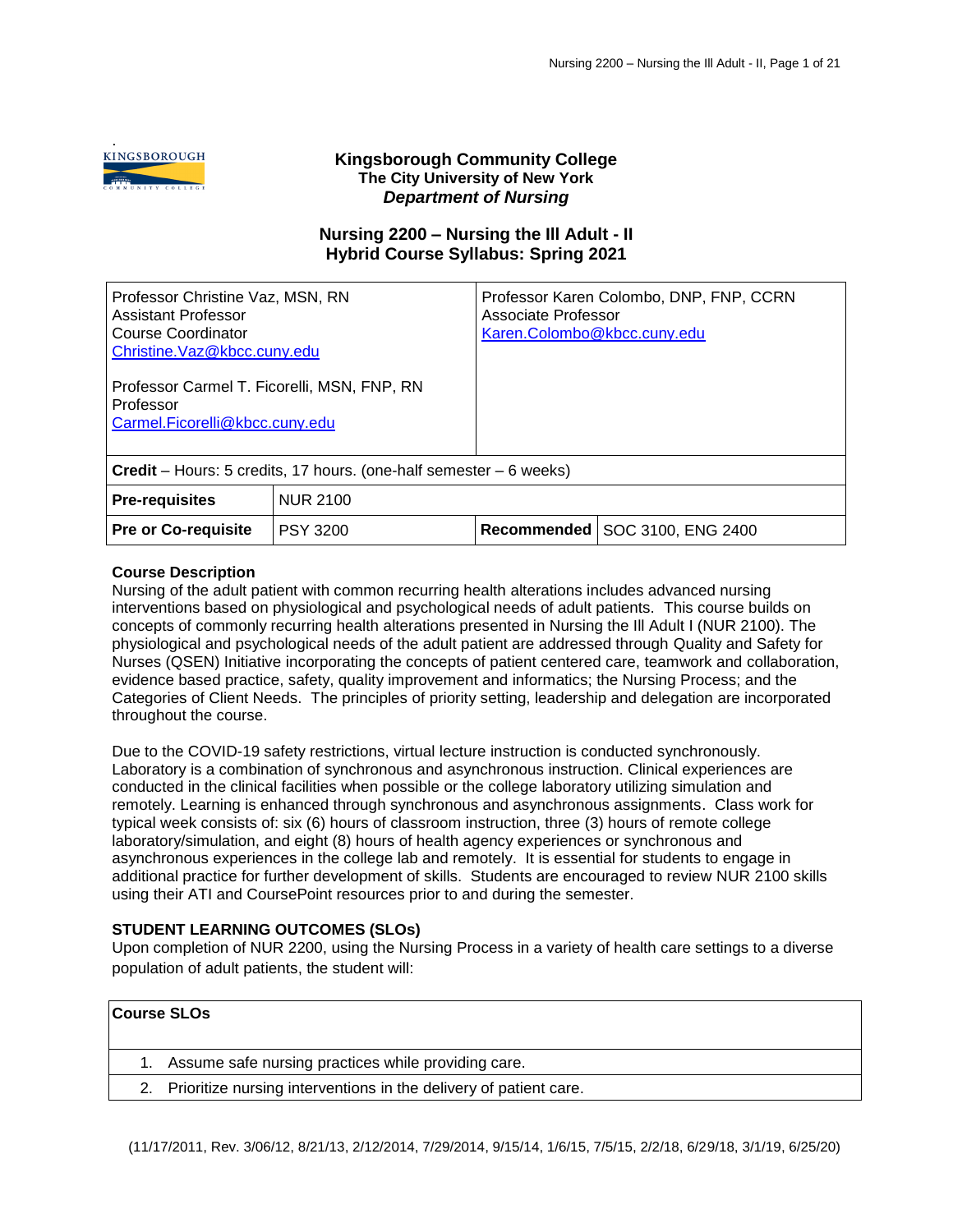.

# **Kingsborough Community College The City University of New York** *Department of Nursing*

# **Nursing 2200 – Nursing the Ill Adult - II Hybrid Course Syllabus: Spring 2021**

| Professor Christine Vaz, MSN, RN<br>Assistant Professor<br>Course Coordinator<br>Christine. Vaz@kbcc.cuny.edu |                 | Associate Professor<br>Karen.Colombo@kbcc.cuny.edu | Professor Karen Colombo, DNP, FNP, CCRN |
|---------------------------------------------------------------------------------------------------------------|-----------------|----------------------------------------------------|-----------------------------------------|
| Professor Carmel T. Ficorelli, MSN, FNP, RN<br>Professor<br>Carmel.Ficorelli@kbcc.cuny.edu                    |                 |                                                    |                                         |
| <b>Credit</b> – Hours: 5 credits, 17 hours. (one-half semester – 6 weeks)                                     |                 |                                                    |                                         |
| <b>Pre-requisites</b>                                                                                         | <b>NUR 2100</b> |                                                    |                                         |
| <b>Pre or Co-requisite</b>                                                                                    | <b>PSY 3200</b> | Recommended                                        | SOC 3100, ENG 2400                      |

## **Course Description**

Nursing of the adult patient with common recurring health alterations includes advanced nursing interventions based on physiological and psychological needs of adult patients. This course builds on concepts of commonly recurring health alterations presented in Nursing the Ill Adult I (NUR 2100). The physiological and psychological needs of the adult patient are addressed through Quality and Safety for Nurses (QSEN) Initiative incorporating the concepts of patient centered care, teamwork and collaboration, evidence based practice, safety, quality improvement and informatics; the Nursing Process; and the Categories of Client Needs. The principles of priority setting, leadership and delegation are incorporated throughout the course.

Due to the COVID-19 safety restrictions, virtual lecture instruction is conducted synchronously. Laboratory is a combination of synchronous and asynchronous instruction. Clinical experiences are conducted in the clinical facilities when possible or the college laboratory utilizing simulation and remotely. Learning is enhanced through synchronous and asynchronous assignments. Class work for typical week consists of: six (6) hours of classroom instruction, three (3) hours of remote college laboratory/simulation, and eight (8) hours of health agency experiences or synchronous and asynchronous experiences in the college lab and remotely. It is essential for students to engage in additional practice for further development of skills. Students are encouraged to review NUR 2100 skills using their ATI and CoursePoint resources prior to and during the semester.

## **STUDENT LEARNING OUTCOMES (SLOs)**

Upon completion of NUR 2200, using the Nursing Process in a variety of health care settings to a diverse population of adult patients, the student will:

| <b>Course SLOs</b> |                                                                      |
|--------------------|----------------------------------------------------------------------|
|                    | 1. Assume safe nursing practices while providing care.               |
|                    | 2. Prioritize nursing interventions in the delivery of patient care. |
|                    |                                                                      |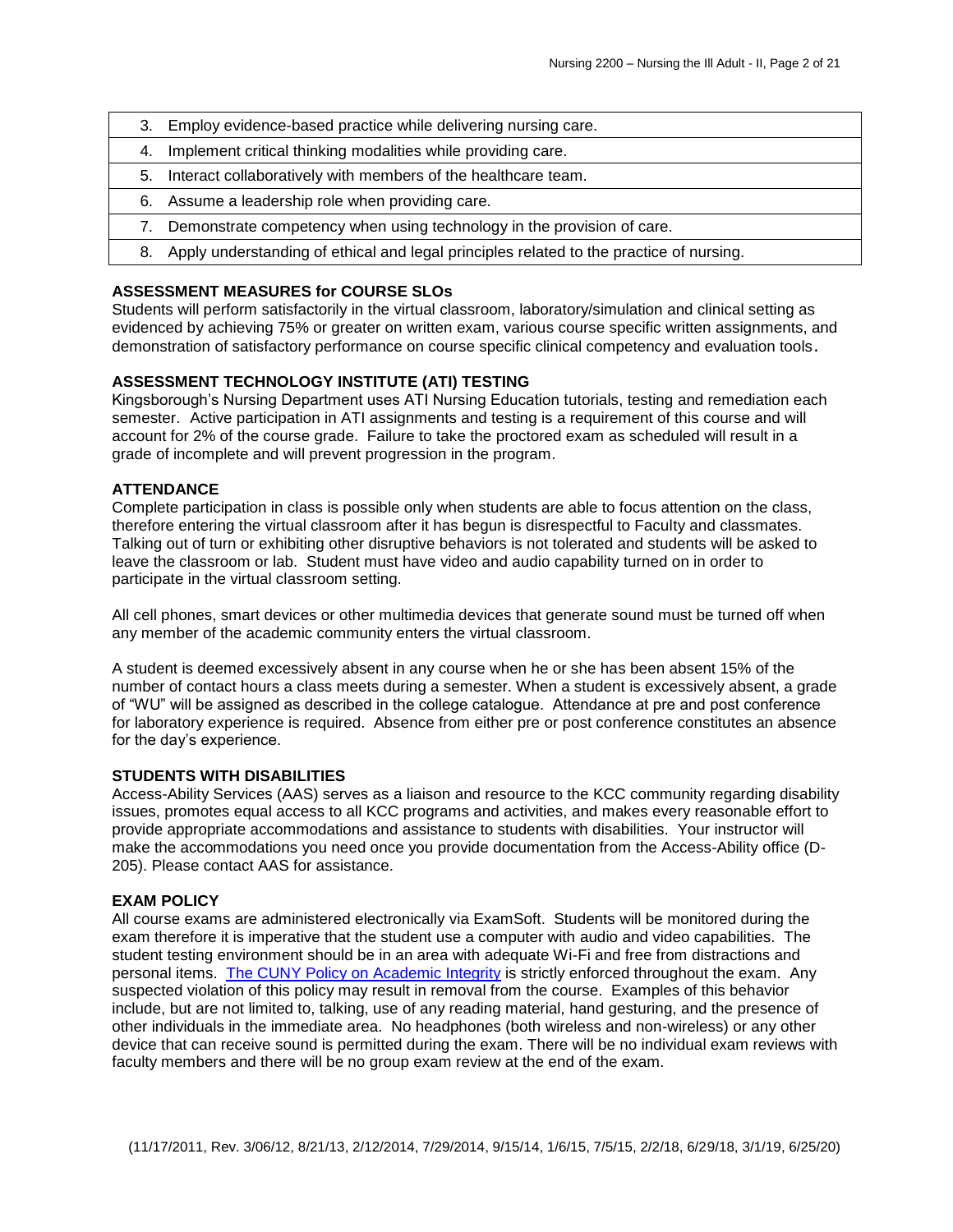- 3. Employ evidence-based practice while delivering nursing care.
- 4. Implement critical thinking modalities while providing care.
- 5. Interact collaboratively with members of the healthcare team.
- 6. Assume a leadership role when providing care.
- 7. Demonstrate competency when using technology in the provision of care.
- 8. Apply understanding of ethical and legal principles related to the practice of nursing.

## **ASSESSMENT MEASURES for COURSE SLOs**

Students will perform satisfactorily in the virtual classroom, laboratory/simulation and clinical setting as evidenced by achieving 75% or greater on written exam, various course specific written assignments, and demonstration of satisfactory performance on course specific clinical competency and evaluation tools.

## **ASSESSMENT TECHNOLOGY INSTITUTE (ATI) TESTING**

Kingsborough's Nursing Department uses ATI Nursing Education tutorials, testing and remediation each semester. Active participation in ATI assignments and testing is a requirement of this course and will account for 2% of the course grade. Failure to take the proctored exam as scheduled will result in a grade of incomplete and will prevent progression in the program.

## **ATTENDANCE**

Complete participation in class is possible only when students are able to focus attention on the class, therefore entering the virtual classroom after it has begun is disrespectful to Faculty and classmates. Talking out of turn or exhibiting other disruptive behaviors is not tolerated and students will be asked to leave the classroom or lab. Student must have video and audio capability turned on in order to participate in the virtual classroom setting.

All cell phones, smart devices or other multimedia devices that generate sound must be turned off when any member of the academic community enters the virtual classroom.

A student is deemed excessively absent in any course when he or she has been absent 15% of the number of contact hours a class meets during a semester. When a student is excessively absent, a grade of "WU" will be assigned as described in the college catalogue. Attendance at pre and post conference for laboratory experience is required. Absence from either pre or post conference constitutes an absence for the day's experience.

#### **STUDENTS WITH DISABILITIES**

Access-Ability Services (AAS) serves as a liaison and resource to the KCC community regarding disability issues, promotes equal access to all KCC programs and activities, and makes every reasonable effort to provide appropriate accommodations and assistance to students with disabilities. Your instructor will make the accommodations you need once you provide documentation from the Access-Ability office (D-205). Please contact AAS for assistance.

## **EXAM POLICY**

All course exams are administered electronically via ExamSoft. Students will be monitored during the exam therefore it is imperative that the student use a computer with audio and video capabilities. The student testing environment should be in an area with adequate Wi-Fi and free from distractions and personal items. [The CUNY Policy on Academic Integrity](https://www.kbcc.cuny.edu/faculty_staff/documents/Academic_Integrity_Policy.pdf#search=academic%20integrity%20policy%20) is strictly enforced throughout the exam. Any suspected violation of this policy may result in removal from the course. Examples of this behavior include, but are not limited to, talking, use of any reading material, hand gesturing, and the presence of other individuals in the immediate area. No headphones (both wireless and non-wireless) or any other device that can receive sound is permitted during the exam. There will be no individual exam reviews with faculty members and there will be no group exam review at the end of the exam.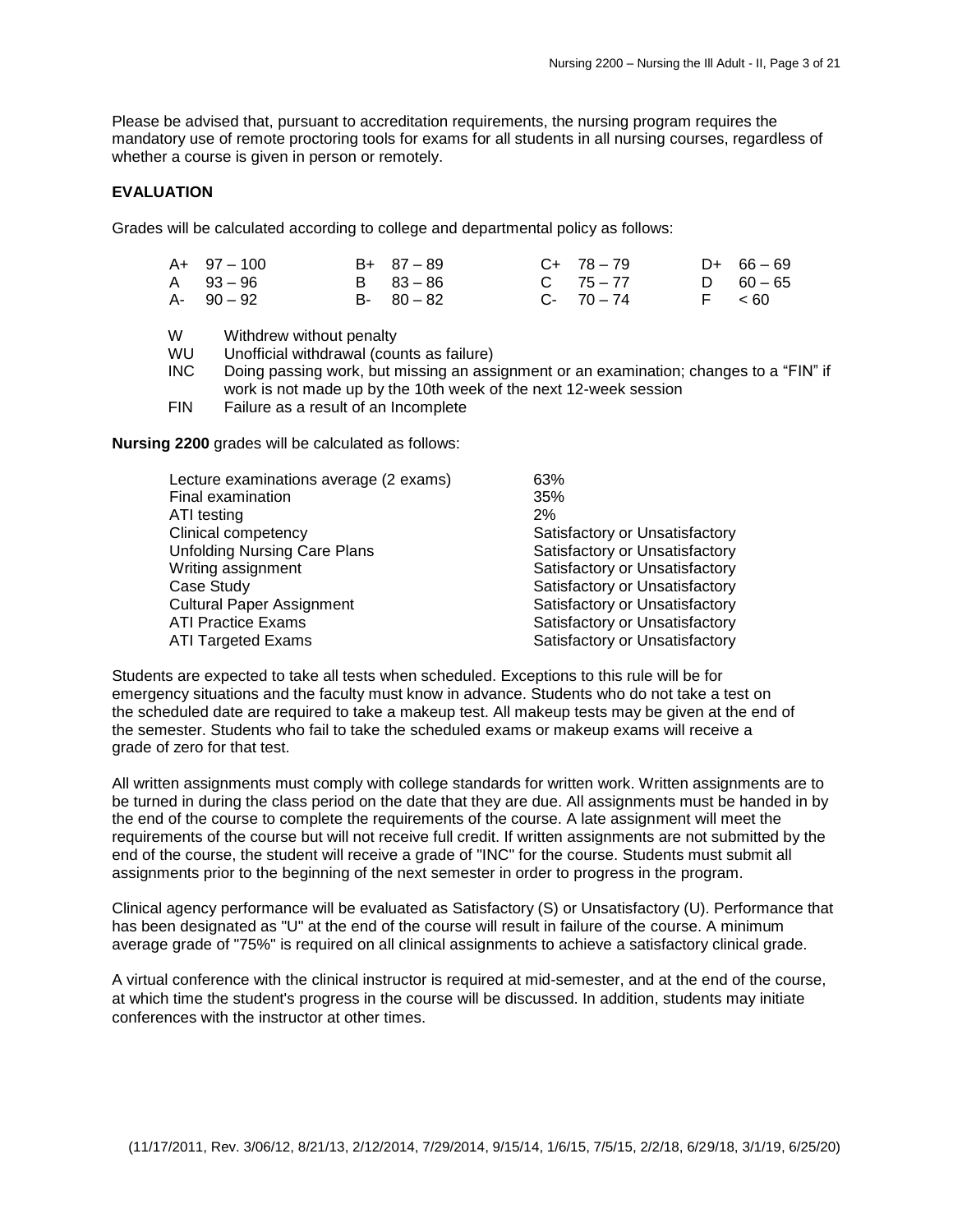Please be advised that, pursuant to accreditation requirements, the nursing program requires the mandatory use of remote proctoring tools for exams for all students in all nursing courses, regardless of whether a course is given in person or remotely.

#### **EVALUATION**

Grades will be calculated according to college and departmental policy as follows:

| $A+ 97-100$ | $B+ 87-89$    | $C+ 78-79$    | $D+ 66-69$  |
|-------------|---------------|---------------|-------------|
| A 93-96     | B 83-86       | $C = 75 - 77$ | D $60 - 65$ |
| A- 90 – 92  | $B - 80 - 82$ | $C-70-74$     | F < 60      |

W Withdrew without penalty<br>WU Unofficial withdrawal (cou

Unofficial withdrawal (counts as failure)

INC Doing passing work, but missing an assignment or an examination; changes to a "FIN" if work is not made up by the 10th week of the next 12-week session

FIN Failure as a result of an Incomplete

**Nursing 2200** grades will be calculated as follows:

| Lecture examinations average (2 exams) | 63%                            |
|----------------------------------------|--------------------------------|
| Final examination                      | 35%                            |
| ATI testing                            | 2%                             |
| <b>Clinical competency</b>             | Satisfactory or Unsatisfactory |
| <b>Unfolding Nursing Care Plans</b>    | Satisfactory or Unsatisfactory |
| Writing assignment                     | Satisfactory or Unsatisfactory |
| Case Study                             | Satisfactory or Unsatisfactory |
| <b>Cultural Paper Assignment</b>       | Satisfactory or Unsatisfactory |
| <b>ATI Practice Exams</b>              | Satisfactory or Unsatisfactory |
| <b>ATI Targeted Exams</b>              | Satisfactory or Unsatisfactory |

Students are expected to take all tests when scheduled. Exceptions to this rule will be for emergency situations and the faculty must know in advance. Students who do not take a test on the scheduled date are required to take a makeup test. All makeup tests may be given at the end of the semester. Students who fail to take the scheduled exams or makeup exams will receive a grade of zero for that test.

All written assignments must comply with college standards for written work. Written assignments are to be turned in during the class period on the date that they are due. All assignments must be handed in by the end of the course to complete the requirements of the course. A late assignment will meet the requirements of the course but will not receive full credit. If written assignments are not submitted by the end of the course, the student will receive a grade of "INC" for the course. Students must submit all assignments prior to the beginning of the next semester in order to progress in the program.

Clinical agency performance will be evaluated as Satisfactory (S) or Unsatisfactory (U). Performance that has been designated as "U" at the end of the course will result in failure of the course. A minimum average grade of "75%" is required on all clinical assignments to achieve a satisfactory clinical grade.

A virtual conference with the clinical instructor is required at mid-semester, and at the end of the course, at which time the student's progress in the course will be discussed. In addition, students may initiate conferences with the instructor at other times.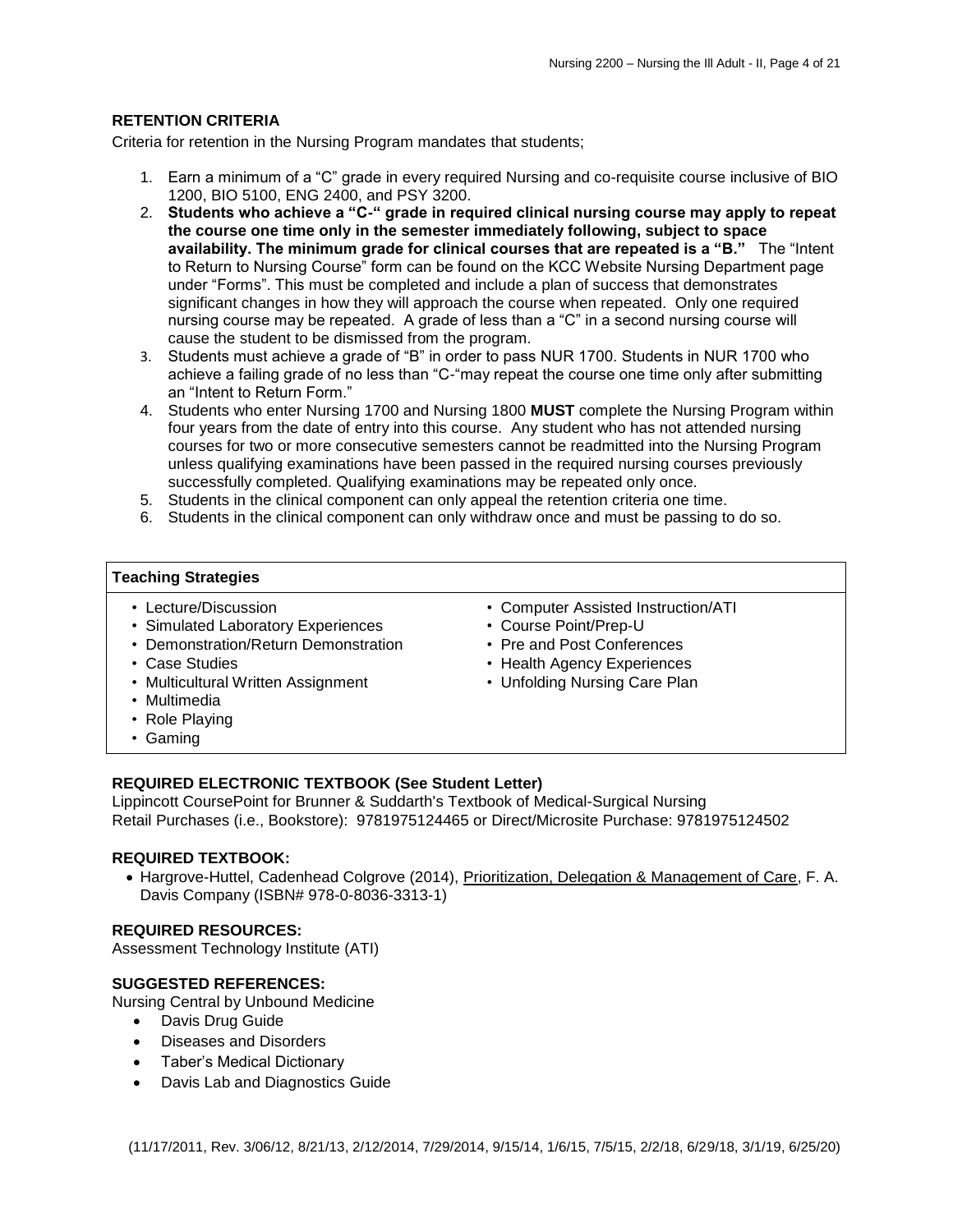# **RETENTION CRITERIA**

Criteria for retention in the Nursing Program mandates that students;

- 1. Earn a minimum of a "C" grade in every required Nursing and co-requisite course inclusive of BIO 1200, BIO 5100, ENG 2400, and PSY 3200.
- 2. **Students who achieve a "C-" grade in required clinical nursing course may apply to repeat the course one time only in the semester immediately following, subject to space availability. The minimum grade for clinical courses that are repeated is a "B."** The "Intent to Return to Nursing Course" form can be found on the KCC Website Nursing Department page under "Forms". This must be completed and include a plan of success that demonstrates significant changes in how they will approach the course when repeated. Only one required nursing course may be repeated. A grade of less than a "C" in a second nursing course will cause the student to be dismissed from the program.
- 3. Students must achieve a grade of "B" in order to pass NUR 1700. Students in NUR 1700 who achieve a failing grade of no less than "C-"may repeat the course one time only after submitting an "Intent to Return Form."
- 4. Students who enter Nursing 1700 and Nursing 1800 **MUST** complete the Nursing Program within four years from the date of entry into this course. Any student who has not attended nursing courses for two or more consecutive semesters cannot be readmitted into the Nursing Program unless qualifying examinations have been passed in the required nursing courses previously successfully completed. Qualifying examinations may be repeated only once.
- 5. Students in the clinical component can only appeal the retention criteria one time.
- 6. Students in the clinical component can only withdraw once and must be passing to do so.

#### **Teaching Strategies**

- Lecture/Discussion
- Simulated Laboratory Experiences
- Demonstration/Return Demonstration
- Case Studies
- Multicultural Written Assignment
- Multimedia
- Role Playing
- Gaming

## **REQUIRED ELECTRONIC TEXTBOOK (See Student Letter)**

Lippincott CoursePoint for Brunner & Suddarth's Textbook of Medical-Surgical Nursing Retail Purchases (i.e., Bookstore): 9781975124465 or Direct/Microsite Purchase: 9781975124502

## **REQUIRED TEXTBOOK:**

 Hargrove-Huttel, Cadenhead Colgrove (2014), Prioritization, Delegation & Management of Care, F. A. Davis Company (ISBN# 978-0-8036-3313-1)

## **REQUIRED RESOURCES:**

Assessment Technology Institute (ATI)

# **SUGGESTED REFERENCES:**

Nursing Central by Unbound Medicine

- Davis Drug Guide
- Diseases and Disorders
- Taber's Medical Dictionary
- Davis Lab and Diagnostics Guide
- Computer Assisted Instruction/ATI
- Course Point/Prep-U
- Pre and Post Conferences
- Health Agency Experiences
- Unfolding Nursing Care Plan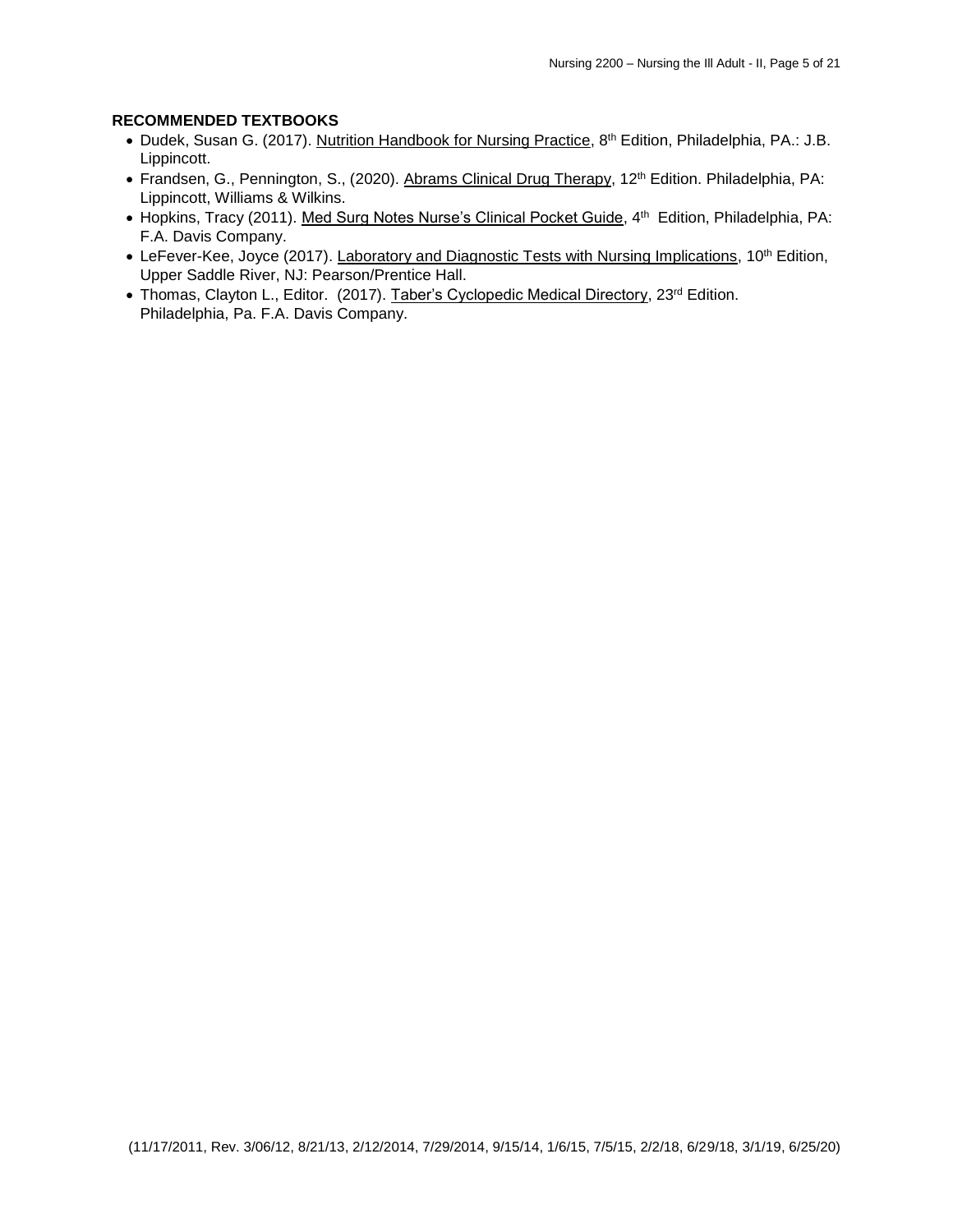# **RECOMMENDED TEXTBOOKS**

- Dudek, Susan G. (2017). Nutrition Handbook for Nursing Practice, 8<sup>th</sup> Edition, Philadelphia, PA.: J.B. Lippincott.
- Frandsen, G., Pennington, S., (2020). Abrams Clinical Drug Therapy, 12<sup>th</sup> Edition. Philadelphia, PA: Lippincott, Williams & Wilkins.
- Hopkins, Tracy (2011). Med Surg Notes Nurse's Clinical Pocket Guide, 4<sup>th</sup> Edition, Philadelphia, PA: F.A. Davis Company.
- LeFever-Kee, Joyce (2017). Laboratory and Diagnostic Tests with Nursing Implications, 10<sup>th</sup> Edition, Upper Saddle River, NJ: Pearson/Prentice Hall.
- Thomas, Clayton L., Editor. (2017). Taber's Cyclopedic Medical Directory, 23<sup>rd</sup> Edition. Philadelphia, Pa. F.A. Davis Company.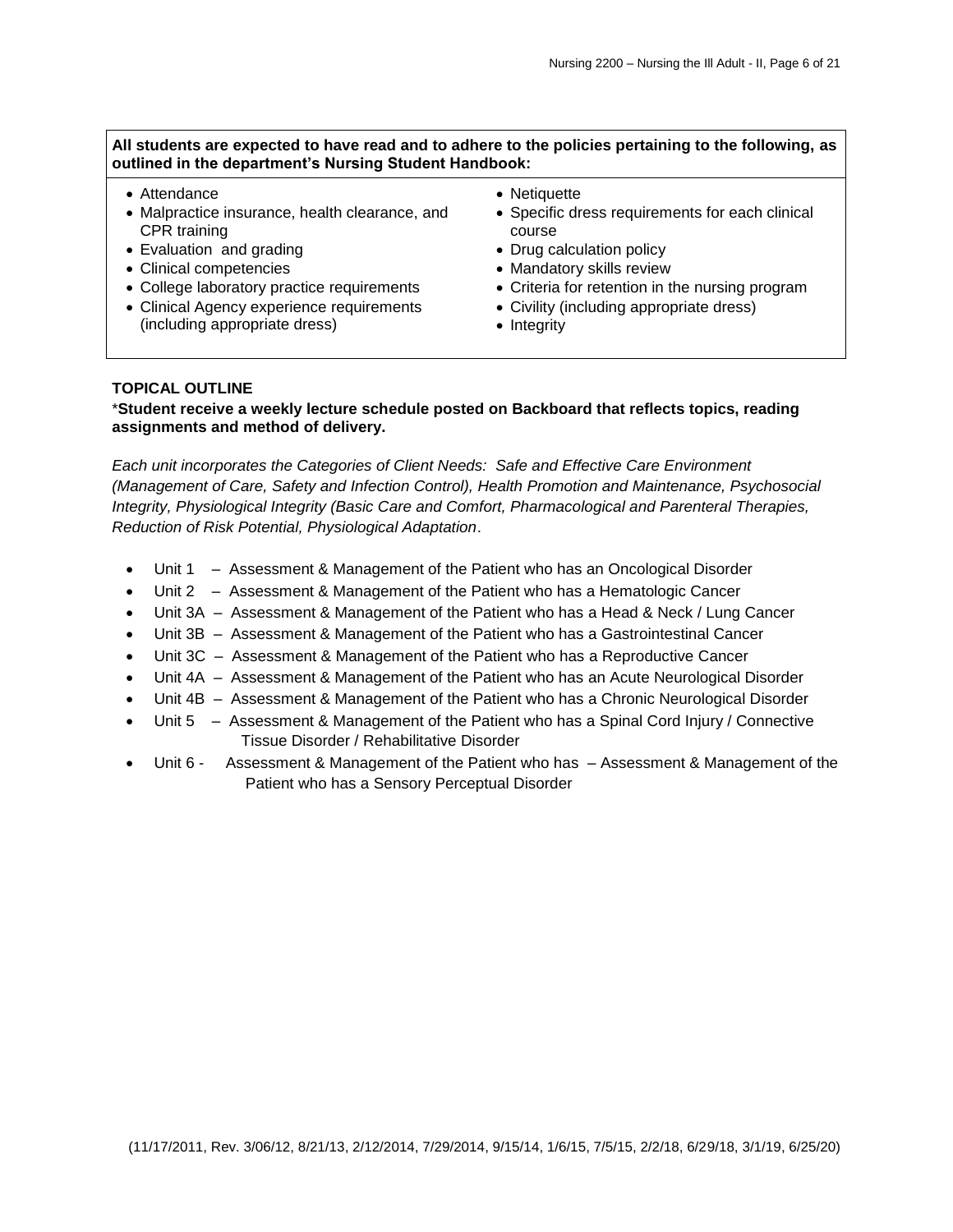## **All students are expected to have read and to adhere to the policies pertaining to the following, as outlined in the department's Nursing Student Handbook:**

- Attendance
- Malpractice insurance, health clearance, and CPR training
- Evaluation and grading
- Clinical competencies
- College laboratory practice requirements
- Clinical Agency experience requirements (including appropriate dress)
- Netiquette
- Specific dress requirements for each clinical course
- Drug calculation policy
- Mandatory skills review
- Criteria for retention in the nursing program
- Civility (including appropriate dress)
- Integrity

#### **TOPICAL OUTLINE**

\***Student receive a weekly lecture schedule posted on Backboard that reflects topics, reading assignments and method of delivery.** 

*Each unit incorporates the Categories of Client Needs: Safe and Effective Care Environment (Management of Care, Safety and Infection Control), Health Promotion and Maintenance, Psychosocial Integrity, Physiological Integrity (Basic Care and Comfort, Pharmacological and Parenteral Therapies, Reduction of Risk Potential, Physiological Adaptation*.

- Unit 1 Assessment & Management of the Patient who has an Oncological Disorder
- Unit 2 Assessment & Management of the Patient who has a Hematologic Cancer
- Unit 3A Assessment & Management of the Patient who has a Head & Neck / Lung Cancer
- Unit 3B Assessment & Management of the Patient who has a Gastrointestinal Cancer
- Unit 3C Assessment & Management of the Patient who has a Reproductive Cancer
- Unit 4A Assessment & Management of the Patient who has an Acute Neurological Disorder
- Unit 4B Assessment & Management of the Patient who has a Chronic Neurological Disorder
- Unit 5 Assessment & Management of the Patient who has a Spinal Cord Injury / Connective Tissue Disorder / Rehabilitative Disorder
- Unit 6 Assessment & Management of the Patient who has Assessment & Management of the Patient who has a Sensory Perceptual Disorder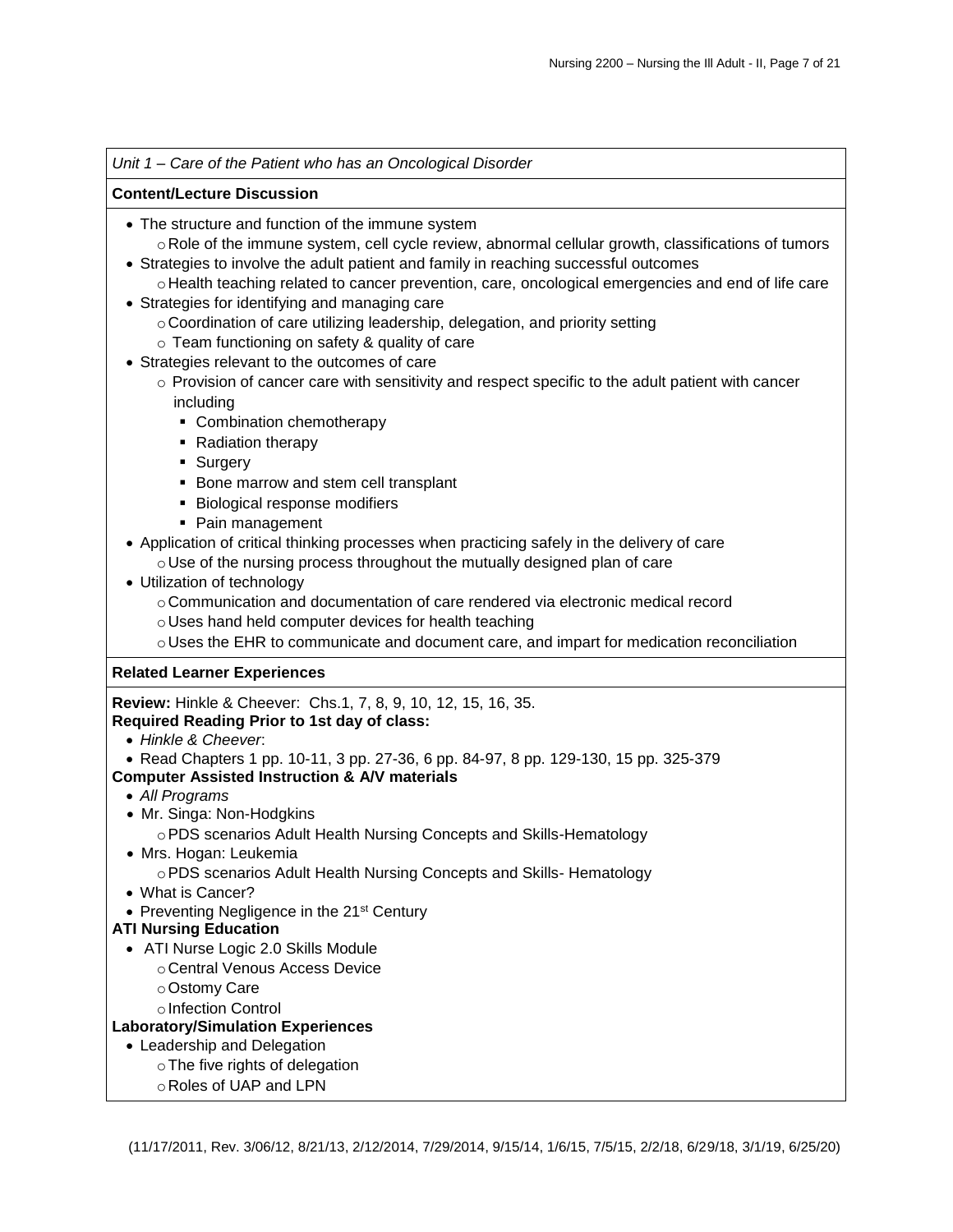# *Unit 1 – Care of the Patient who has an Oncological Disorder*

# **Content/Lecture Discussion**

- The structure and function of the immune system
- $\circ$  Role of the immune system, cell cycle review, abnormal cellular growth, classifications of tumors Strategies to involve the adult patient and family in reaching successful outcomes
- o Health teaching related to cancer prevention, care, oncological emergencies and end of life care
- Strategies for identifying and managing care
	- oCoordination of care utilizing leadership, delegation, and priority setting
	- o Team functioning on safety & quality of care
- Strategies relevant to the outcomes of care
	- $\circ$  Provision of cancer care with sensitivity and respect specific to the adult patient with cancer including
		- Combination chemotherapy
		- Radiation therapy
		- **Surgery**
		- **Bone marrow and stem cell transplant**
		- **Biological response modifiers**
		- Pain management
- Application of critical thinking processes when practicing safely in the delivery of care  $\circ$  Use of the nursing process throughout the mutually designed plan of care
- Utilization of technology
	- $\circ$  Communication and documentation of care rendered via electronic medical record
	- oUses hand held computer devices for health teaching
	- oUses the EHR to communicate and document care, and impart for medication reconciliation

# **Related Learner Experiences**

**Review:** Hinkle & Cheever: Chs.1, 7, 8, 9, 10, 12, 15, 16, 35.

# **Required Reading Prior to 1st day of class:**

- *Hinkle & Cheever*:
- Read Chapters 1 pp. 10-11, 3 pp. 27-36, 6 pp. 84-97, 8 pp. 129-130, 15 pp. 325-379

# **Computer Assisted Instruction & A/V materials**

- *All Programs*
- Mr. Singa: Non-Hodgkins
	- oPDS scenarios Adult Health Nursing Concepts and Skills-Hematology
- Mrs. Hogan: Leukemia
	- oPDS scenarios Adult Health Nursing Concepts and Skills- Hematology
- What is Cancer?
- Preventing Negligence in the 21<sup>st</sup> Century
- **ATI Nursing Education**
	- ATI Nurse Logic 2.0 Skills Module
		- oCentral Venous Access Device
			- oOstomy Care
			- o Infection Control

# **Laboratory/Simulation Experiences**

- Leadership and Delegation
	- oThe five rights of delegation
	- oRoles of UAP and LPN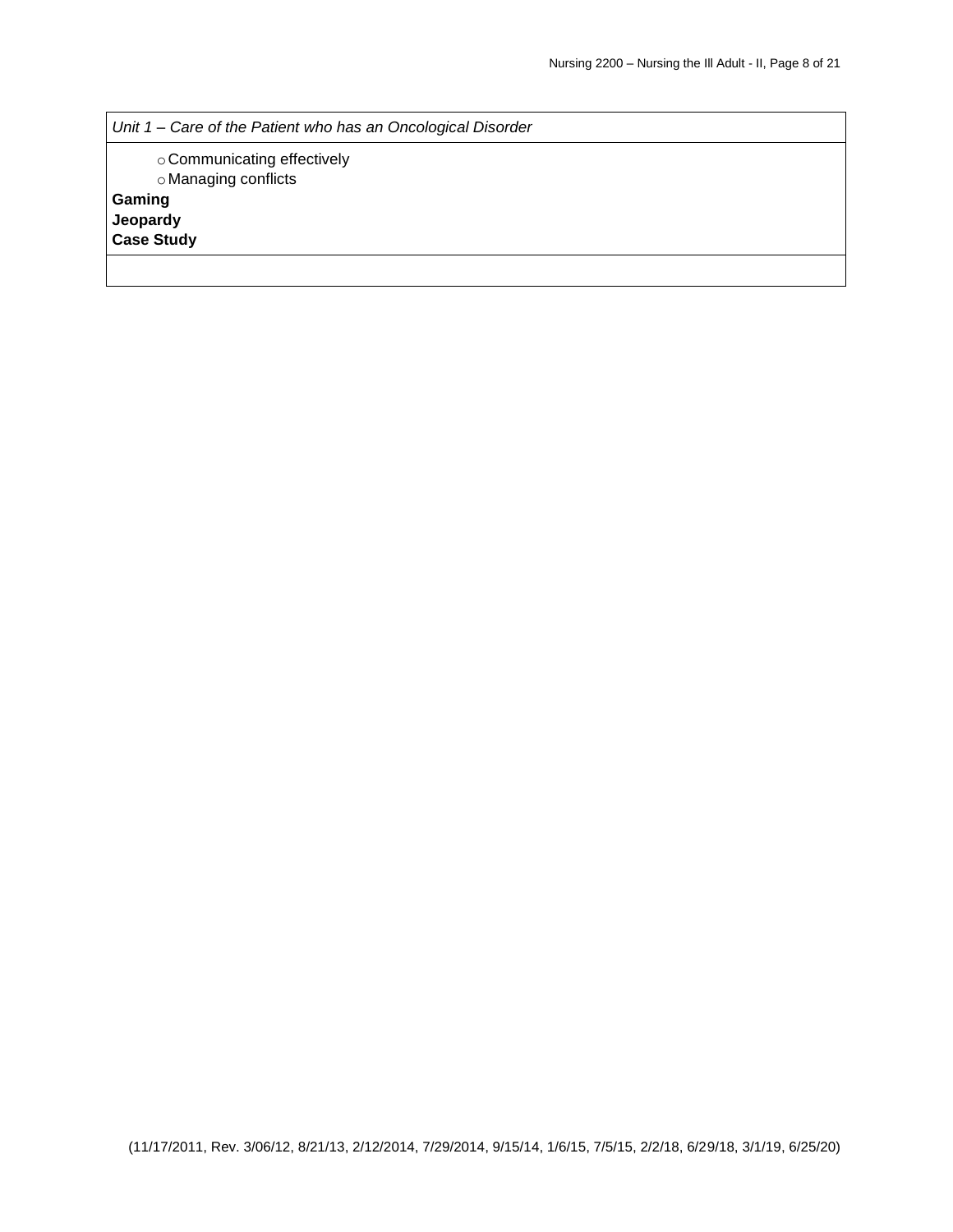*Unit 1 – Care of the Patient who has an Oncological Disorder*

oCommunicating effectively oManaging conflicts **Gaming**

**Jeopardy**

**Case Study**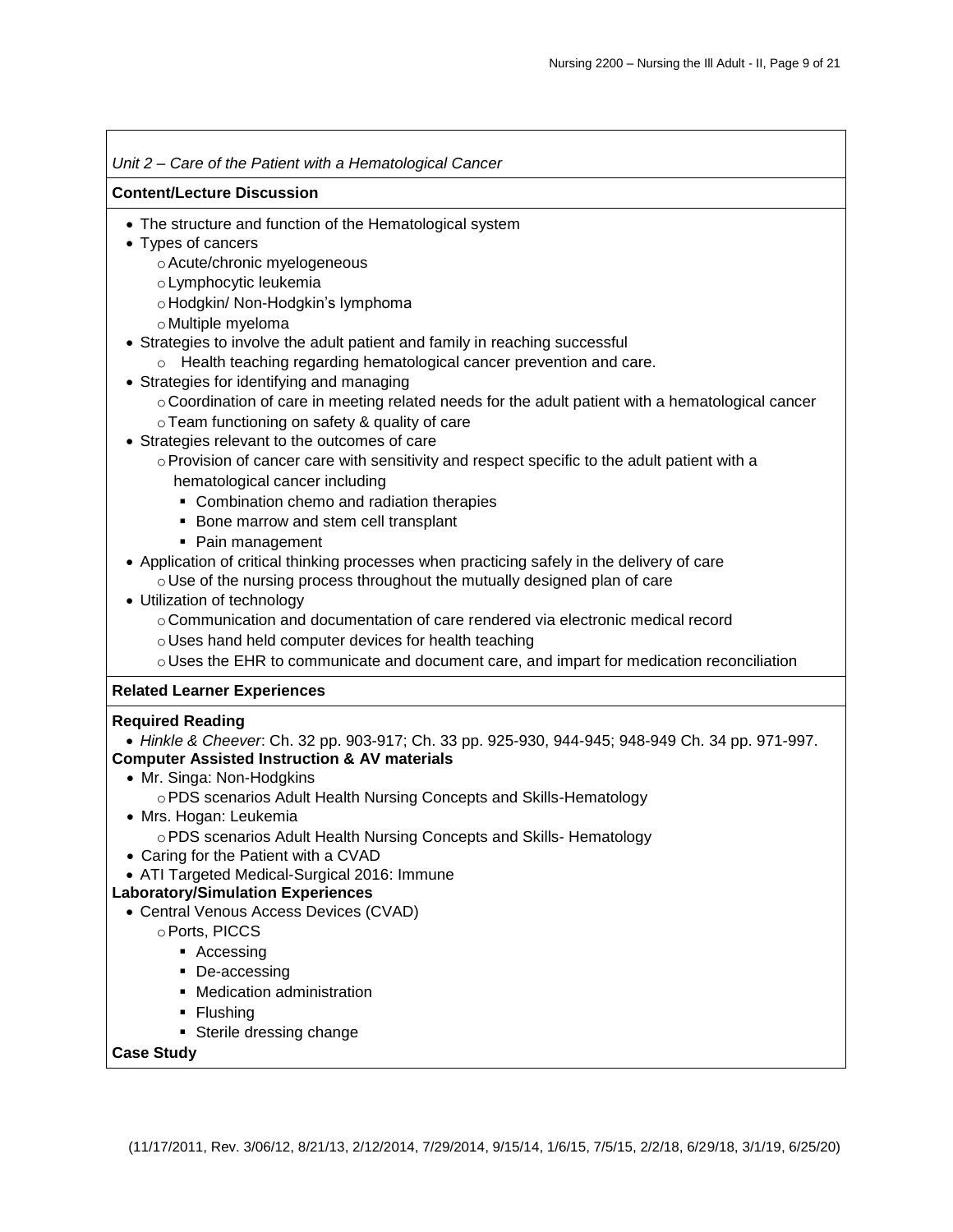# *Unit 2 – Care of the Patient with a Hematological Cancer*

## **Content/Lecture Discussion**

- The structure and function of the Hematological system
- Types of cancers
	- oAcute/chronic myelogeneous
	- oLymphocytic leukemia
	- o Hodgkin/ Non-Hodgkin's lymphoma
	- oMultiple myeloma
- Strategies to involve the adult patient and family in reaching successful
	- o Health teaching regarding hematological cancer prevention and care.
- Strategies for identifying and managing
	- $\circ$  Coordination of care in meeting related needs for the adult patient with a hematological cancer
	- oTeam functioning on safety & quality of care
- Strategies relevant to the outcomes of care
	- $\circ$  Provision of cancer care with sensitivity and respect specific to the adult patient with a hematological cancer including
		- Combination chemo and radiation therapies
		- **Bone marrow and stem cell transplant**
		- Pain management
- Application of critical thinking processes when practicing safely in the delivery of care
	- oUse of the nursing process throughout the mutually designed plan of care
- Utilization of technology
	- oCommunication and documentation of care rendered via electronic medical record
	- oUses hand held computer devices for health teaching
	- $\circ$  Uses the EHR to communicate and document care, and impart for medication reconciliation

# **Related Learner Experiences**

## **Required Reading**

 *Hinkle & Cheever*: Ch. 32 pp. 903-917; Ch. 33 pp. 925-930, 944-945; 948-949 Ch. 34 pp. 971-997. **Computer Assisted Instruction & AV materials**

- Mr. Singa: Non-Hodgkins
	- oPDS scenarios Adult Health Nursing Concepts and Skills-Hematology
- Mrs. Hogan: Leukemia oPDS scenarios Adult Health Nursing Concepts and Skills- Hematology
- Caring for the Patient with a CVAD
- ATI Targeted Medical-Surgical 2016: Immune

# **Laboratory/Simulation Experiences**

- Central Venous Access Devices (CVAD)
	- oPorts, PICCS
		- Accessing
		- De-accessing
		- Medication administration
		- Flushing
		- Sterile dressing change

# **Case Study**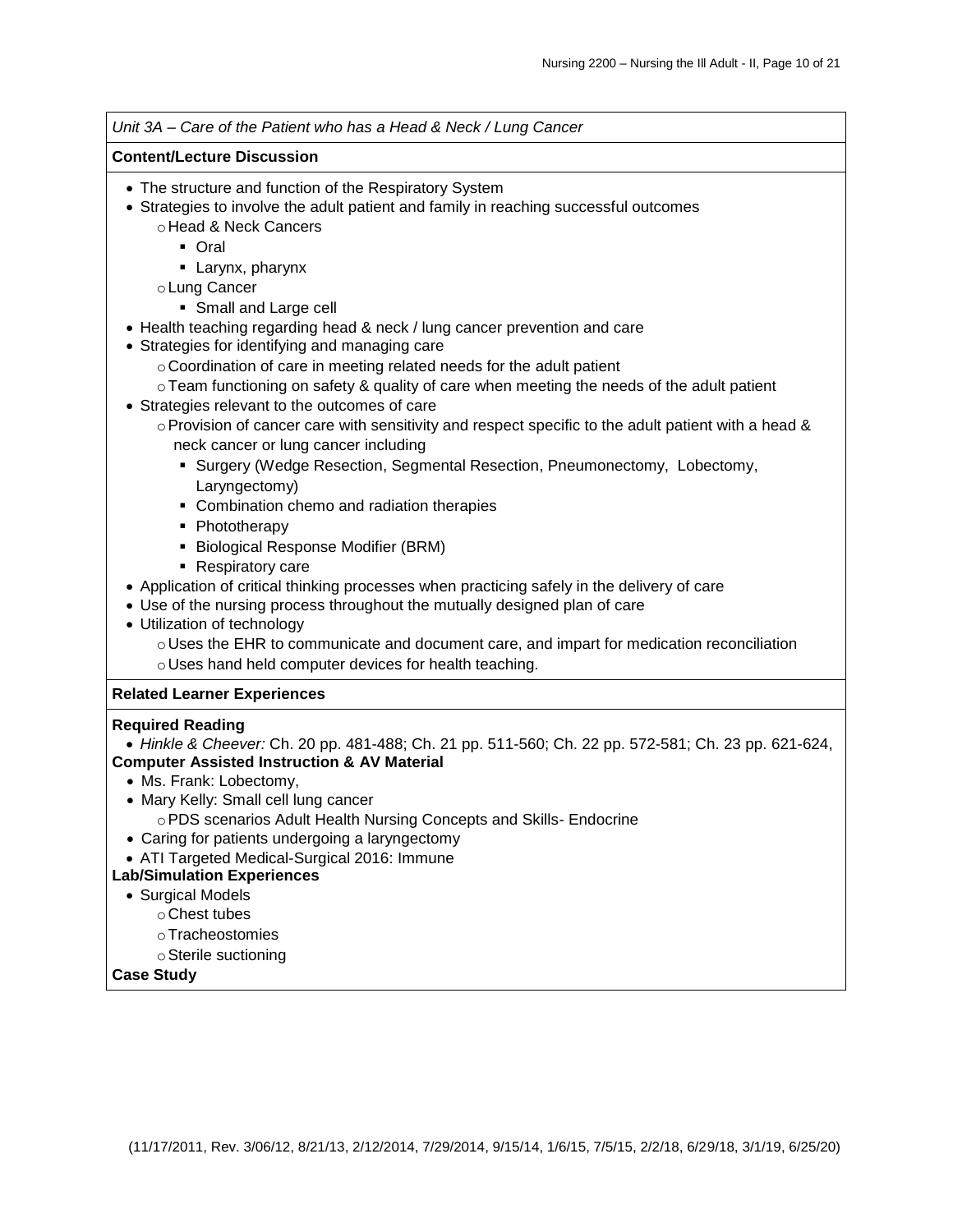*Unit 3A – Care of the Patient who has a Head & Neck / Lung Cancer* **Content/Lecture Discussion** The structure and function of the Respiratory System Strategies to involve the adult patient and family in reaching successful outcomes o Head & Neck Cancers Oral **Larynx**, pharynx oLung Cancer Small and Large cell Health teaching regarding head & neck / lung cancer prevention and care Strategies for identifying and managing care oCoordination of care in meeting related needs for the adult patient oTeam functioning on safety & quality of care when meeting the needs of the adult patient Strategies relevant to the outcomes of care  $\circ$  Provision of cancer care with sensitivity and respect specific to the adult patient with a head & neck cancer or lung cancer including **Surgery (Wedge Resection, Segmental Resection, Pneumonectomy, Lobectomy,** Laryngectomy) Combination chemo and radiation therapies • Phototherapy **Biological Response Modifier (BRM) Respiratory care**  Application of critical thinking processes when practicing safely in the delivery of care Use of the nursing process throughout the mutually designed plan of care Utilization of technology oUses the EHR to communicate and document care, and impart for medication reconciliation oUses hand held computer devices for health teaching. **Related Learner Experiences Required Reading** *Hinkle & Cheever:* Ch. 20 pp. 481-488; Ch. 21 pp. 511-560; Ch. 22 pp. 572-581; Ch. 23 pp. 621-624, **Computer Assisted Instruction & AV Material** • Ms. Frank: Lobectomy. • Mary Kelly: Small cell lung cancer oPDS scenarios Adult Health Nursing Concepts and Skills- Endocrine Caring for patients undergoing a laryngectomy • ATI Targeted Medical-Surgical 2016: Immune **Lab/Simulation Experiences** • Surgical Models oChest tubes oTracheostomies oSterile suctioning **Case Study**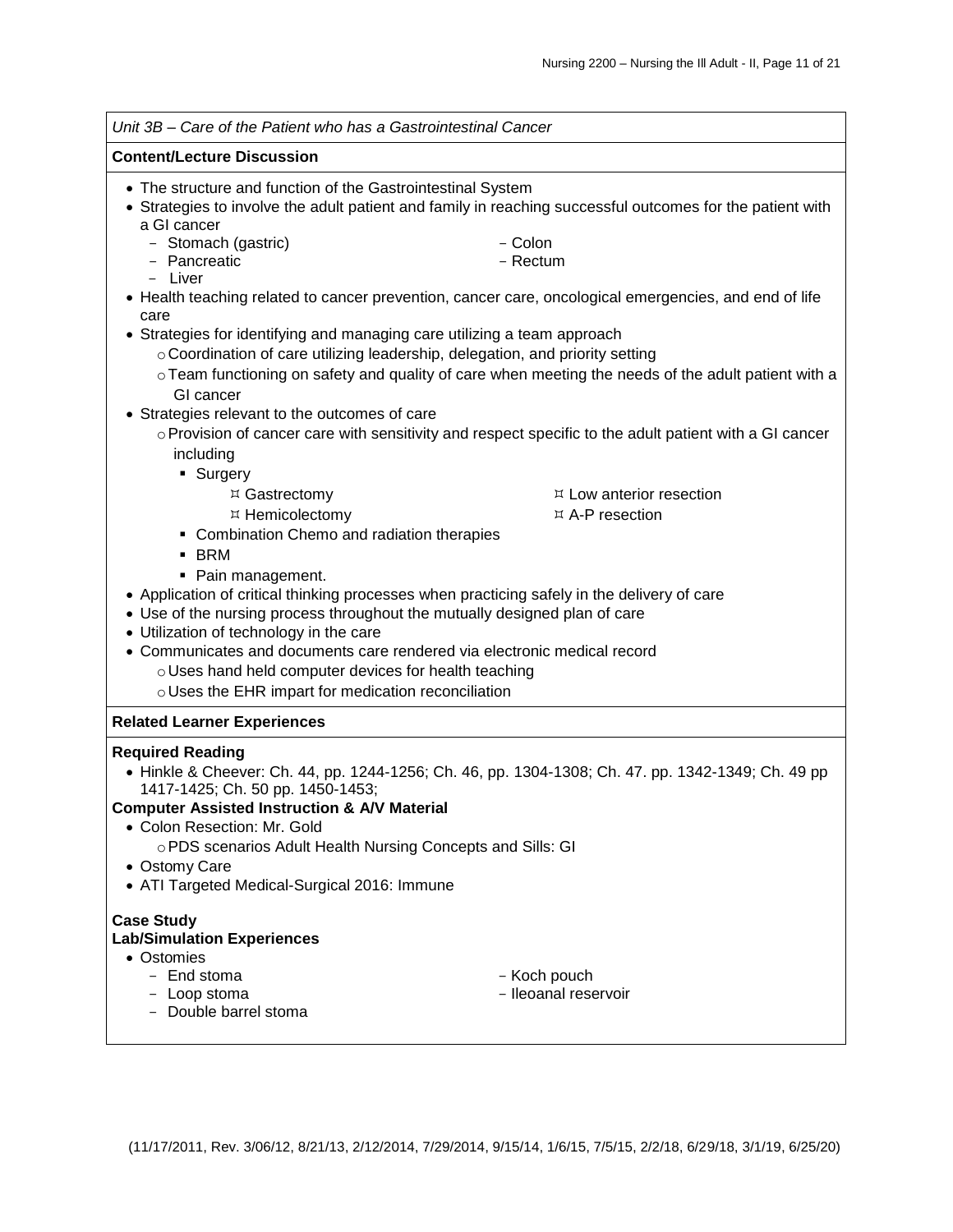|                                                                               | Unit 3B - Care of the Patient who has a Gastrointestinal Cancer                                           |
|-------------------------------------------------------------------------------|-----------------------------------------------------------------------------------------------------------|
| <b>Content/Lecture Discussion</b>                                             |                                                                                                           |
| • The structure and function of the Gastrointestinal System                   | • Strategies to involve the adult patient and family in reaching successful outcomes for the patient with |
| a GI cancer                                                                   |                                                                                                           |
| - Stomach (gastric)                                                           | - Colon                                                                                                   |
| - Pancreatic                                                                  | - Rectum                                                                                                  |
| - Liver                                                                       |                                                                                                           |
| care                                                                          | • Health teaching related to cancer prevention, cancer care, oncological emergencies, and end of life     |
| • Strategies for identifying and managing care utilizing a team approach      |                                                                                                           |
| ○ Coordination of care utilizing leadership, delegation, and priority setting |                                                                                                           |
|                                                                               | o Team functioning on safety and quality of care when meeting the needs of the adult patient with a       |
| GI cancer                                                                     |                                                                                                           |
| • Strategies relevant to the outcomes of care                                 |                                                                                                           |
|                                                                               | ○ Provision of cancer care with sensitivity and respect specific to the adult patient with a GI cancer    |
| including                                                                     |                                                                                                           |
| • Surgery                                                                     |                                                                                                           |
| ¤ Gastrectomy                                                                 | $E \times$ Low anterior resection                                                                         |
| ¤ Hemicolectomy                                                               | $E \times A-P$ resection                                                                                  |
| • Combination Chemo and radiation therapies                                   |                                                                                                           |
| <b>BRM</b>                                                                    |                                                                                                           |
| • Pain management.                                                            |                                                                                                           |
|                                                                               | • Application of critical thinking processes when practicing safely in the delivery of care               |
| • Use of the nursing process throughout the mutually designed plan of care    |                                                                                                           |
| • Utilization of technology in the care                                       |                                                                                                           |
| • Communicates and documents care rendered via electronic medical record      |                                                                                                           |
| o Uses hand held computer devices for health teaching                         |                                                                                                           |
| o Uses the EHR impart for medication reconciliation                           |                                                                                                           |
| <b>Related Learner Experiences</b>                                            |                                                                                                           |
| <b>Required Reading</b>                                                       |                                                                                                           |
|                                                                               | • Hinkle & Cheever: Ch. 44, pp. 1244-1256; Ch. 46, pp. 1304-1308; Ch. 47. pp. 1342-1349; Ch. 49 pp        |
| 1417-1425; Ch. 50 pp. 1450-1453;                                              |                                                                                                           |
| <b>Computer Assisted Instruction &amp; A/V Material</b>                       |                                                                                                           |
| • Colon Resection: Mr. Gold                                                   |                                                                                                           |
| ○ PDS scenarios Adult Health Nursing Concepts and Sills: GI                   |                                                                                                           |
| • Ostomy Care                                                                 |                                                                                                           |
| • ATI Targeted Medical-Surgical 2016: Immune                                  |                                                                                                           |
| <b>Case Study</b>                                                             |                                                                                                           |
| <b>Lab/Simulation Experiences</b>                                             |                                                                                                           |
| • Ostomies                                                                    |                                                                                                           |
| - End stoma                                                                   | - Koch pouch                                                                                              |
| - Loop stoma<br>- Double barrel stoma                                         | - Ileoanal reservoir                                                                                      |
|                                                                               |                                                                                                           |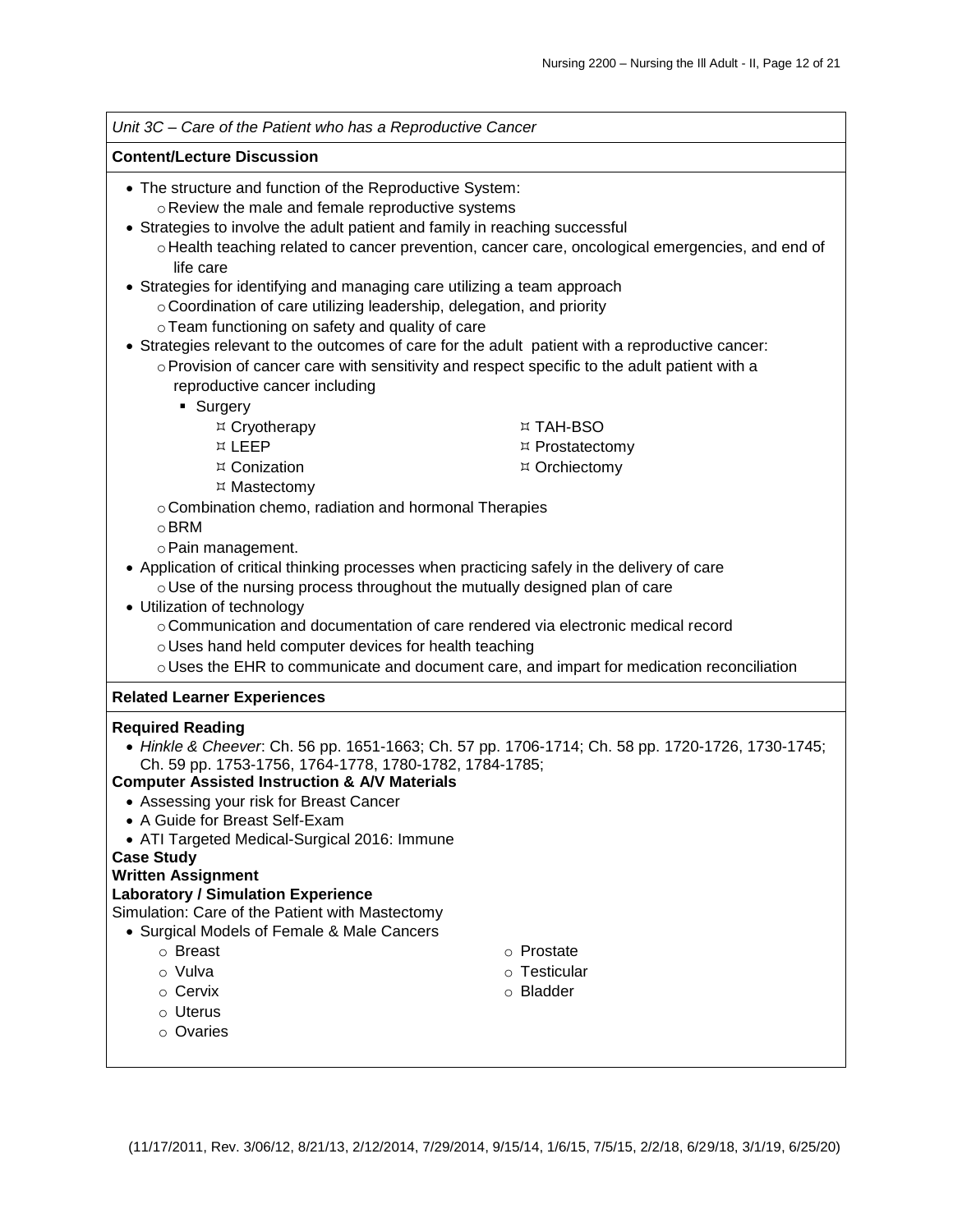| Unit 3C - Care of the Patient who has a Reproductive Cancer                                                                                                |                 |  |  |
|------------------------------------------------------------------------------------------------------------------------------------------------------------|-----------------|--|--|
| <b>Content/Lecture Discussion</b>                                                                                                                          |                 |  |  |
| • The structure and function of the Reproductive System:                                                                                                   |                 |  |  |
| o Review the male and female reproductive systems                                                                                                          |                 |  |  |
| • Strategies to involve the adult patient and family in reaching successful                                                                                |                 |  |  |
| o Health teaching related to cancer prevention, cancer care, oncological emergencies, and end of<br>life care                                              |                 |  |  |
| • Strategies for identifying and managing care utilizing a team approach                                                                                   |                 |  |  |
| ○ Coordination of care utilizing leadership, delegation, and priority                                                                                      |                 |  |  |
| o Team functioning on safety and quality of care                                                                                                           |                 |  |  |
| • Strategies relevant to the outcomes of care for the adult patient with a reproductive cancer:                                                            |                 |  |  |
| ○ Provision of cancer care with sensitivity and respect specific to the adult patient with a                                                               |                 |  |  |
| reproductive cancer including                                                                                                                              |                 |  |  |
| • Surgery                                                                                                                                                  |                 |  |  |
| ¤ Cryotherapy                                                                                                                                              | ¤ TAH-BSO       |  |  |
| ¤ LEEP                                                                                                                                                     | ¤ Prostatectomy |  |  |
| ¤ Conization                                                                                                                                               | ¤ Orchiectomy   |  |  |
| ¤ Mastectomy                                                                                                                                               |                 |  |  |
| o Combination chemo, radiation and hormonal Therapies<br>$\circ$ BRM                                                                                       |                 |  |  |
|                                                                                                                                                            |                 |  |  |
| o Pain management.                                                                                                                                         |                 |  |  |
| • Application of critical thinking processes when practicing safely in the delivery of care                                                                |                 |  |  |
| o Use of the nursing process throughout the mutually designed plan of care<br>• Utilization of technology                                                  |                 |  |  |
| o Communication and documentation of care rendered via electronic medical record                                                                           |                 |  |  |
| o Uses hand held computer devices for health teaching                                                                                                      |                 |  |  |
| $\circ$ Uses the EHR to communicate and document care, and impart for medication reconciliation                                                            |                 |  |  |
| <b>Related Learner Experiences</b>                                                                                                                         |                 |  |  |
|                                                                                                                                                            |                 |  |  |
| <b>Required Reading</b>                                                                                                                                    |                 |  |  |
| • Hinkle & Cheever. Ch. 56 pp. 1651-1663; Ch. 57 pp. 1706-1714; Ch. 58 pp. 1720-1726, 1730-1745;<br>Ch. 59 pp. 1753-1756, 1764-1778, 1780-1782, 1784-1785; |                 |  |  |
| <b>Computer Assisted Instruction &amp; A/V Materials</b>                                                                                                   |                 |  |  |
| • Assessing your risk for Breast Cancer                                                                                                                    |                 |  |  |
| • A Guide for Breast Self-Exam                                                                                                                             |                 |  |  |
| • ATI Targeted Medical-Surgical 2016: Immune                                                                                                               |                 |  |  |
| <b>Case Study</b>                                                                                                                                          |                 |  |  |
| <b>Written Assignment</b>                                                                                                                                  |                 |  |  |
| <b>Laboratory / Simulation Experience</b>                                                                                                                  |                 |  |  |
| Simulation: Care of the Patient with Mastectomy                                                                                                            |                 |  |  |
| • Surgical Models of Female & Male Cancers                                                                                                                 |                 |  |  |
| ○ Breast                                                                                                                                                   | o Prostate      |  |  |
| o Vulva                                                                                                                                                    | ○ Testicular    |  |  |
| $\circ$ Cervix                                                                                                                                             | o Bladder       |  |  |
| ○ Uterus                                                                                                                                                   |                 |  |  |
| o Ovaries                                                                                                                                                  |                 |  |  |
|                                                                                                                                                            |                 |  |  |
|                                                                                                                                                            |                 |  |  |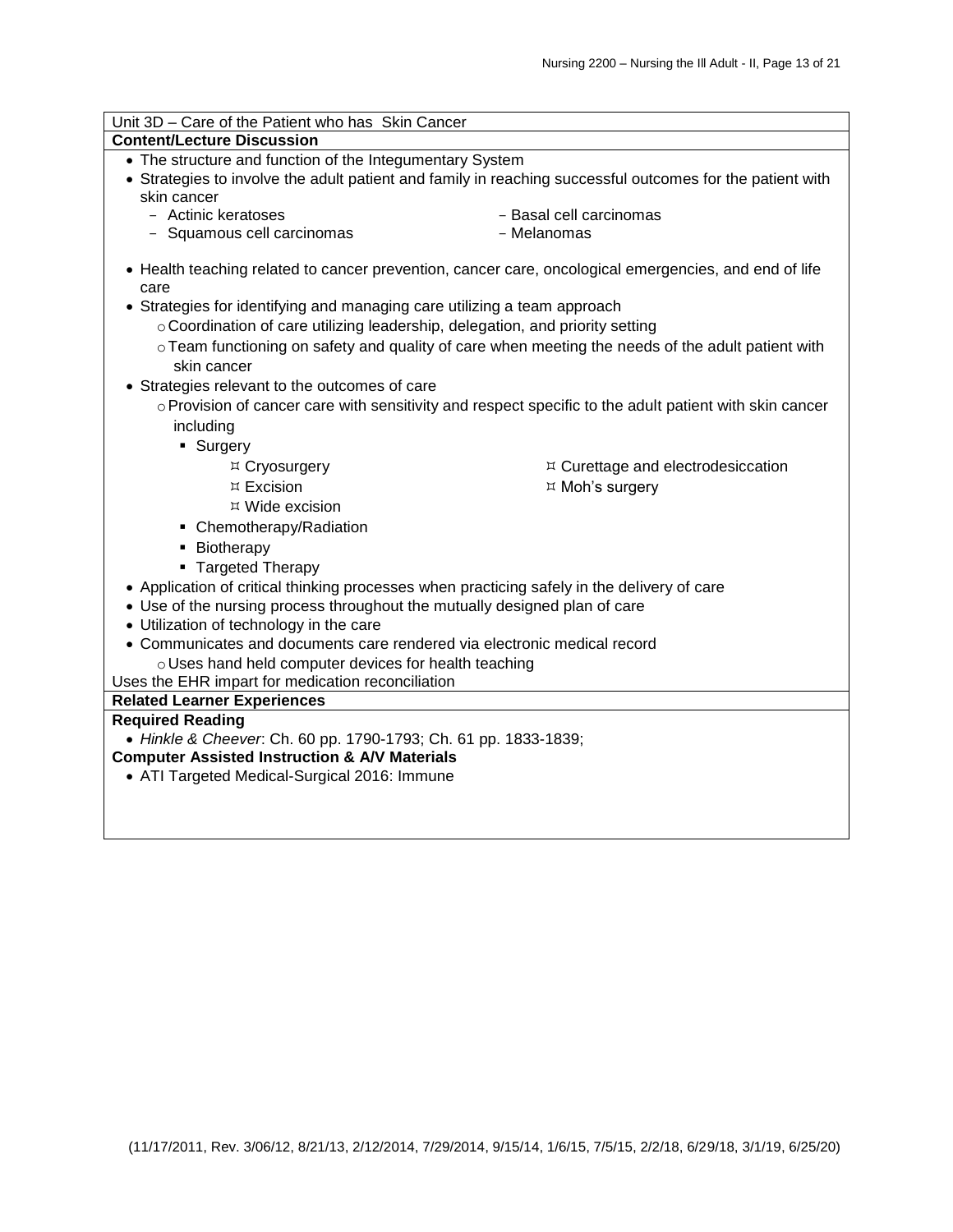| Unit 3D - Care of the Patient who has Skin Cancer                                                                           |                                                                                                        |  |  |
|-----------------------------------------------------------------------------------------------------------------------------|--------------------------------------------------------------------------------------------------------|--|--|
| <b>Content/Lecture Discussion</b>                                                                                           |                                                                                                        |  |  |
| • The structure and function of the Integumentary System                                                                    |                                                                                                        |  |  |
| • Strategies to involve the adult patient and family in reaching successful outcomes for the patient with                   |                                                                                                        |  |  |
| skin cancer                                                                                                                 |                                                                                                        |  |  |
| - Actinic keratoses                                                                                                         | - Basal cell carcinomas                                                                                |  |  |
| - Squamous cell carcinomas                                                                                                  | - Melanomas                                                                                            |  |  |
| • Health teaching related to cancer prevention, cancer care, oncological emergencies, and end of life<br>care               |                                                                                                        |  |  |
| • Strategies for identifying and managing care utilizing a team approach                                                    |                                                                                                        |  |  |
| $\circ$ Coordination of care utilizing leadership, delegation, and priority setting                                         |                                                                                                        |  |  |
|                                                                                                                             | ○ Team functioning on safety and quality of care when meeting the needs of the adult patient with      |  |  |
| skin cancer                                                                                                                 |                                                                                                        |  |  |
| • Strategies relevant to the outcomes of care                                                                               |                                                                                                        |  |  |
|                                                                                                                             | o Provision of cancer care with sensitivity and respect specific to the adult patient with skin cancer |  |  |
|                                                                                                                             |                                                                                                        |  |  |
| including                                                                                                                   |                                                                                                        |  |  |
| • Surgery                                                                                                                   |                                                                                                        |  |  |
| ¤ Cryosurgery                                                                                                               | $\upmu$ Curettage and electrodesiccation                                                               |  |  |
| $\overline{A}$ Excision                                                                                                     | ¤ Moh's surgery                                                                                        |  |  |
| ¤ Wide excision                                                                                                             |                                                                                                        |  |  |
| • Chemotherapy/Radiation                                                                                                    |                                                                                                        |  |  |
| • Biotherapy                                                                                                                |                                                                                                        |  |  |
| • Targeted Therapy                                                                                                          |                                                                                                        |  |  |
| • Application of critical thinking processes when practicing safely in the delivery of care                                 |                                                                                                        |  |  |
| • Use of the nursing process throughout the mutually designed plan of care                                                  |                                                                                                        |  |  |
| • Utilization of technology in the care                                                                                     |                                                                                                        |  |  |
| • Communicates and documents care rendered via electronic medical record                                                    |                                                                                                        |  |  |
| o Uses hand held computer devices for health teaching                                                                       |                                                                                                        |  |  |
| Uses the EHR impart for medication reconciliation                                                                           |                                                                                                        |  |  |
| <b>Related Learner Experiences</b><br><b>Required Reading</b>                                                               |                                                                                                        |  |  |
|                                                                                                                             |                                                                                                        |  |  |
| • Hinkle & Cheever. Ch. 60 pp. 1790-1793; Ch. 61 pp. 1833-1839;<br><b>Computer Assisted Instruction &amp; A/V Materials</b> |                                                                                                        |  |  |
| • ATI Targeted Medical-Surgical 2016: Immune                                                                                |                                                                                                        |  |  |
|                                                                                                                             |                                                                                                        |  |  |
|                                                                                                                             |                                                                                                        |  |  |
|                                                                                                                             |                                                                                                        |  |  |
|                                                                                                                             |                                                                                                        |  |  |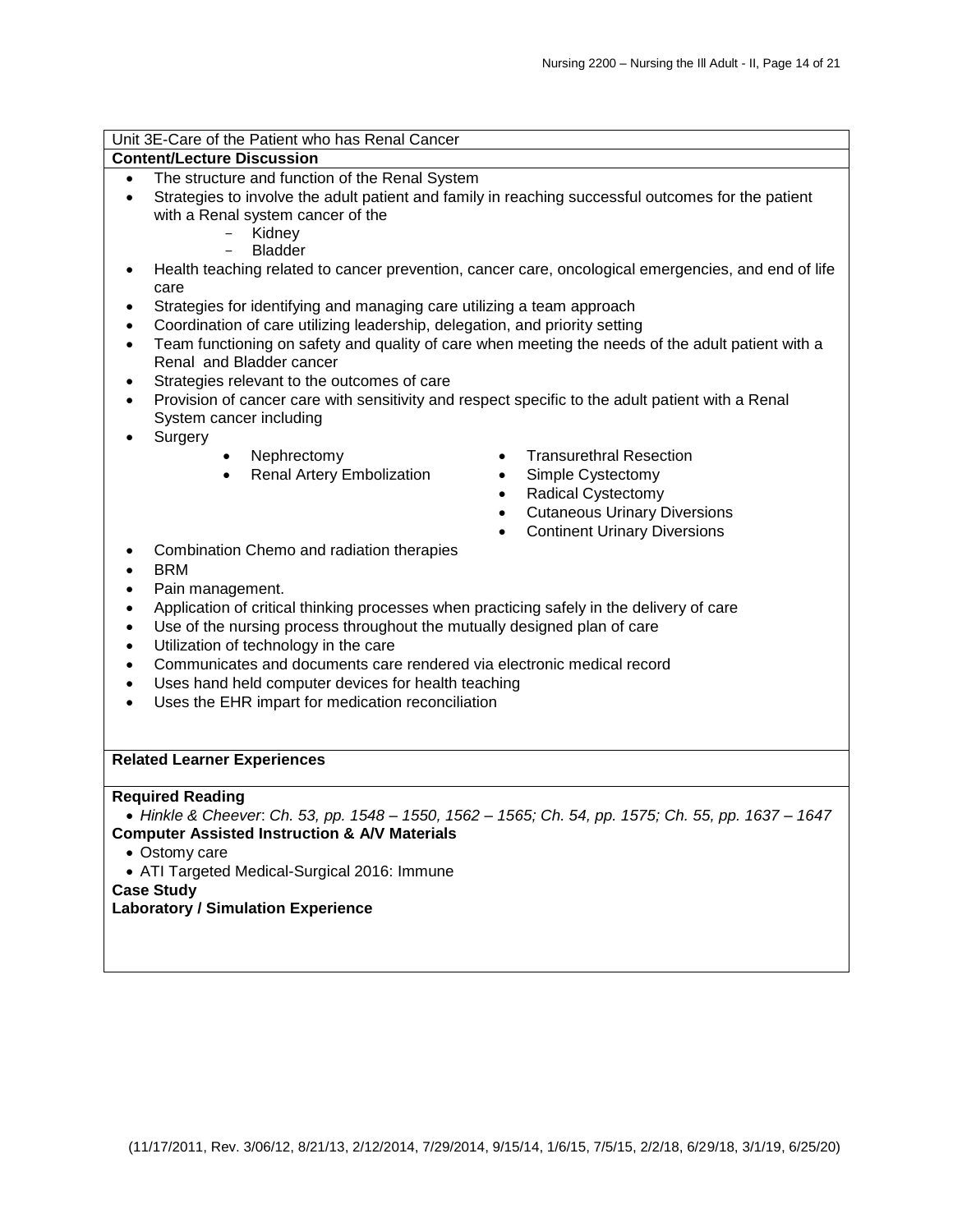| Unit 3E-Care of the Patient who has Renal Cancer                                                              |                                                                                                     |  |  |  |
|---------------------------------------------------------------------------------------------------------------|-----------------------------------------------------------------------------------------------------|--|--|--|
| <b>Content/Lecture Discussion</b>                                                                             |                                                                                                     |  |  |  |
| The structure and function of the Renal System<br>$\bullet$                                                   |                                                                                                     |  |  |  |
| $\bullet$                                                                                                     | Strategies to involve the adult patient and family in reaching successful outcomes for the patient  |  |  |  |
| with a Renal system cancer of the<br>Kidney                                                                   |                                                                                                     |  |  |  |
| <b>Bladder</b>                                                                                                |                                                                                                     |  |  |  |
| $\bullet$                                                                                                     | Health teaching related to cancer prevention, cancer care, oncological emergencies, and end of life |  |  |  |
| care                                                                                                          |                                                                                                     |  |  |  |
| Strategies for identifying and managing care utilizing a team approach<br>٠                                   |                                                                                                     |  |  |  |
| Coordination of care utilizing leadership, delegation, and priority setting<br>$\bullet$                      |                                                                                                     |  |  |  |
| $\bullet$                                                                                                     | Team functioning on safety and quality of care when meeting the needs of the adult patient with a   |  |  |  |
| Renal and Bladder cancer                                                                                      |                                                                                                     |  |  |  |
| Strategies relevant to the outcomes of care<br>$\bullet$                                                      |                                                                                                     |  |  |  |
| Provision of cancer care with sensitivity and respect specific to the adult patient with a Renal<br>$\bullet$ |                                                                                                     |  |  |  |
| System cancer including                                                                                       |                                                                                                     |  |  |  |
| Surgery                                                                                                       |                                                                                                     |  |  |  |
| Nephrectomy<br>$\bullet$                                                                                      | <b>Transurethral Resection</b>                                                                      |  |  |  |
| Renal Artery Embolization<br>$\bullet$                                                                        | Simple Cystectomy                                                                                   |  |  |  |
|                                                                                                               | <b>Radical Cystectomy</b><br>$\bullet$                                                              |  |  |  |
|                                                                                                               | <b>Cutaneous Urinary Diversions</b><br>$\bullet$                                                    |  |  |  |
|                                                                                                               | <b>Continent Urinary Diversions</b><br>$\bullet$                                                    |  |  |  |
| Combination Chemo and radiation therapies                                                                     |                                                                                                     |  |  |  |
| <b>BRM</b>                                                                                                    |                                                                                                     |  |  |  |
| Pain management.<br>$\bullet$                                                                                 |                                                                                                     |  |  |  |
| Application of critical thinking processes when practicing safely in the delivery of care<br>$\bullet$        |                                                                                                     |  |  |  |
| $\bullet$                                                                                                     | Use of the nursing process throughout the mutually designed plan of care                            |  |  |  |
| Utilization of technology in the care<br>$\bullet$                                                            |                                                                                                     |  |  |  |
| Communicates and documents care rendered via electronic medical record<br>$\bullet$                           |                                                                                                     |  |  |  |
| Uses hand held computer devices for health teaching<br>$\bullet$                                              |                                                                                                     |  |  |  |
| Uses the EHR impart for medication reconciliation<br>$\bullet$                                                |                                                                                                     |  |  |  |
|                                                                                                               |                                                                                                     |  |  |  |
|                                                                                                               |                                                                                                     |  |  |  |
| <b>Related Learner Experiences</b>                                                                            |                                                                                                     |  |  |  |
|                                                                                                               |                                                                                                     |  |  |  |
| <b>Required Reading</b>                                                                                       |                                                                                                     |  |  |  |
| <b>Computer Assisted Instruction &amp; A/V Materials</b>                                                      | • Hinkle & Cheever. Ch. 53, pp. 1548 - 1550, 1562 - 1565; Ch. 54, pp. 1575; Ch. 55, pp. 1637 - 1647 |  |  |  |
| • Ostomy care                                                                                                 |                                                                                                     |  |  |  |
| • ATI Targeted Medical-Surgical 2016: Immune                                                                  |                                                                                                     |  |  |  |
| <b>Case Study</b>                                                                                             |                                                                                                     |  |  |  |
| <b>Laboratory / Simulation Experience</b>                                                                     |                                                                                                     |  |  |  |
|                                                                                                               |                                                                                                     |  |  |  |
|                                                                                                               |                                                                                                     |  |  |  |
|                                                                                                               |                                                                                                     |  |  |  |
|                                                                                                               |                                                                                                     |  |  |  |
|                                                                                                               |                                                                                                     |  |  |  |
|                                                                                                               |                                                                                                     |  |  |  |
|                                                                                                               |                                                                                                     |  |  |  |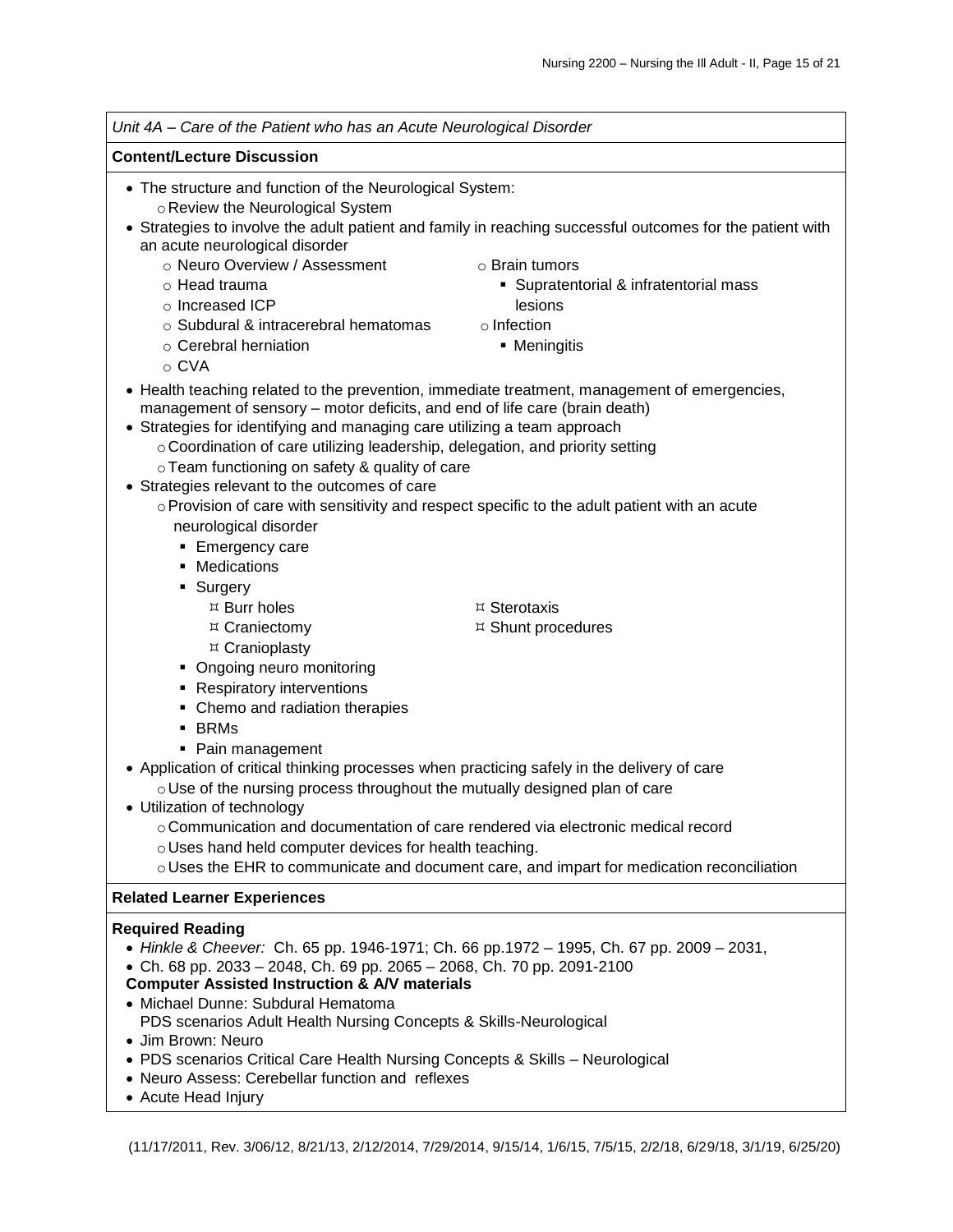| Unit 4A - Care of the Patient who has an Acute Neurological Disorder                                                                                                                                                                                                                                                                                                                                                                                                                                                                                                                                                                                                                     |                                                                                                                                                                                                                 |  |  |
|------------------------------------------------------------------------------------------------------------------------------------------------------------------------------------------------------------------------------------------------------------------------------------------------------------------------------------------------------------------------------------------------------------------------------------------------------------------------------------------------------------------------------------------------------------------------------------------------------------------------------------------------------------------------------------------|-----------------------------------------------------------------------------------------------------------------------------------------------------------------------------------------------------------------|--|--|
| <b>Content/Lecture Discussion</b>                                                                                                                                                                                                                                                                                                                                                                                                                                                                                                                                                                                                                                                        |                                                                                                                                                                                                                 |  |  |
| • The structure and function of the Neurological System:<br>o Review the Neurological System<br>an acute neurological disorder<br>o Neuro Overview / Assessment<br>o Head trauma<br>o Increased ICP<br>o Subdural & intracerebral hematomas<br>$\circ$ Cerebral herniation<br>$\circ$ CVA                                                                                                                                                                                                                                                                                                                                                                                                | • Strategies to involve the adult patient and family in reaching successful outcomes for the patient with<br>○ Brain tumors<br>• Supratentorial & infratentorial mass<br>lesions<br>o Infection<br>• Meningitis |  |  |
| • Health teaching related to the prevention, immediate treatment, management of emergencies,<br>management of sensory - motor deficits, and end of life care (brain death)<br>• Strategies for identifying and managing care utilizing a team approach<br>○ Coordination of care utilizing leadership, delegation, and priority setting<br>o Team functioning on safety & quality of care<br>• Strategies relevant to the outcomes of care<br>neurological disorder<br>• Emergency care<br>Medications<br>Surgery<br>٠                                                                                                                                                                   | ○ Provision of care with sensitivity and respect specific to the adult patient with an acute                                                                                                                    |  |  |
| ¤ Burr holes<br>¤ Sterotaxis<br>¤ Craniectomy<br>¤ Shunt procedures<br>¤ Cranioplasty<br>• Ongoing neuro monitoring<br>• Respiratory interventions<br>• Chemo and radiation therapies<br>$\blacksquare$ BRMs<br>• Pain management<br>• Application of critical thinking processes when practicing safely in the delivery of care<br>o Use of the nursing process throughout the mutually designed plan of care<br>• Utilization of technology<br>o Communication and documentation of care rendered via electronic medical record<br>o Uses hand held computer devices for health teaching.<br>o Uses the EHR to communicate and document care, and impart for medication reconciliation |                                                                                                                                                                                                                 |  |  |
| <b>Related Learner Experiences</b>                                                                                                                                                                                                                                                                                                                                                                                                                                                                                                                                                                                                                                                       |                                                                                                                                                                                                                 |  |  |
| <b>Required Reading</b><br>• Hinkle & Cheever: Ch. 65 pp. 1946-1971; Ch. 66 pp. 1972 - 1995, Ch. 67 pp. 2009 - 2031,<br>• Ch. 68 pp. 2033 - 2048, Ch. 69 pp. 2065 - 2068, Ch. 70 pp. 2091-2100<br><b>Computer Assisted Instruction &amp; A/V materials</b><br>• Michael Dunne: Subdural Hematoma<br>PDS scenarios Adult Health Nursing Concepts & Skills-Neurological<br>• Jim Brown: Neuro<br>• PDS scenarios Critical Care Health Nursing Concepts & Skills - Neurological<br>• Neuro Assess: Cerebellar function and reflexes<br>استنفا امضما المفا                                                                                                                                   |                                                                                                                                                                                                                 |  |  |

• Acute Head Injury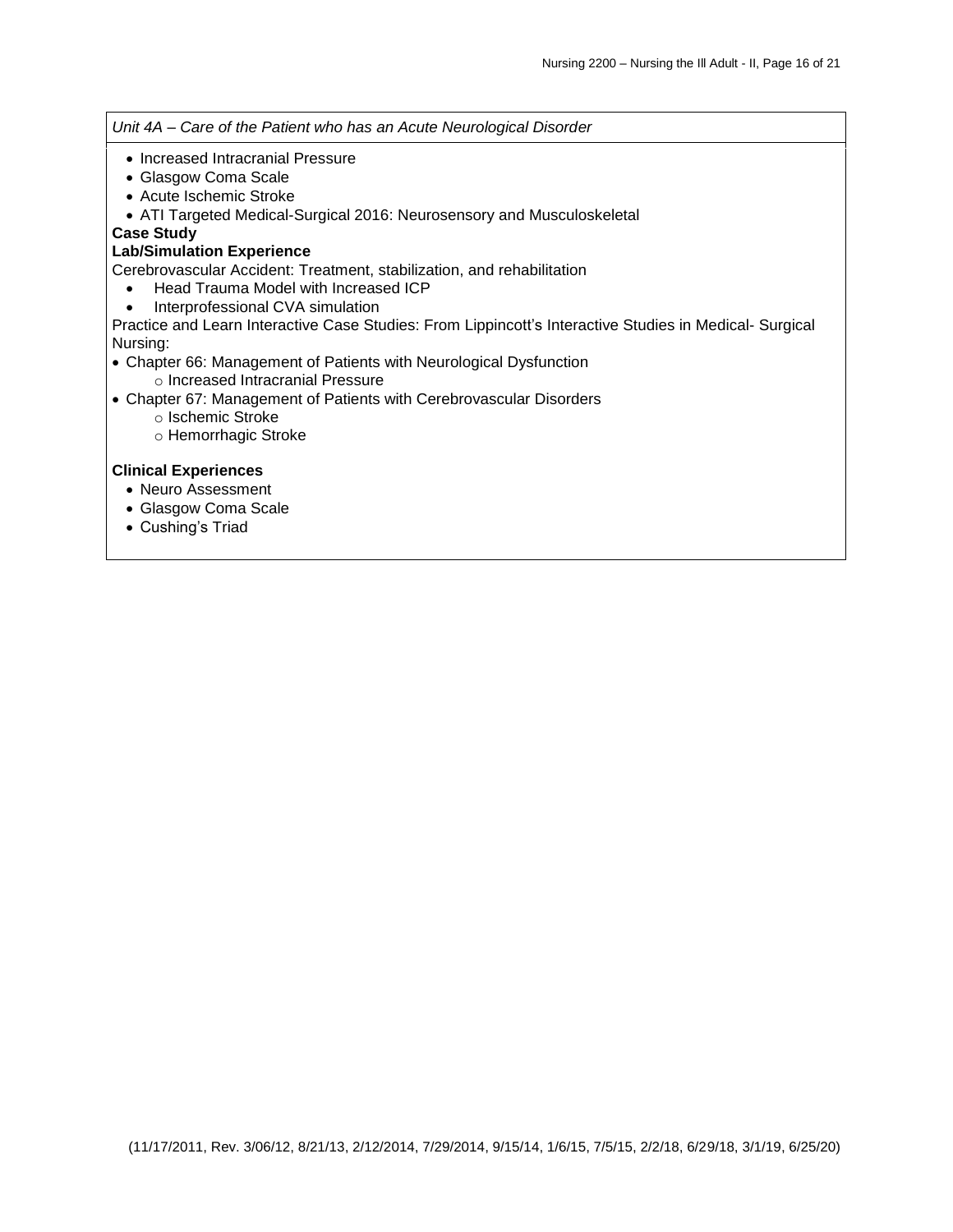*Unit 4A – Care of the Patient who has an Acute Neurological Disorder*

- Increased Intracranial Pressure
- Glasgow Coma Scale
- Acute Ischemic Stroke
- ATI Targeted Medical-Surgical 2016: Neurosensory and Musculoskeletal

#### **Case Study**

## **Lab/Simulation Experience**

Cerebrovascular Accident: Treatment, stabilization, and rehabilitation

- Head Trauma Model with Increased ICP
- Interprofessional CVA simulation

Practice and Learn Interactive Case Studies: From Lippincott's Interactive Studies in Medical- Surgical Nursing:

- Chapter 66: Management of Patients with Neurological Dysfunction o Increased Intracranial Pressure
- Chapter 67: Management of Patients with Cerebrovascular Disorders
	- o Ischemic Stroke
	- o Hemorrhagic Stroke

# **Clinical Experiences**

- Neuro Assessment
- Glasgow Coma Scale
- Cushing's Triad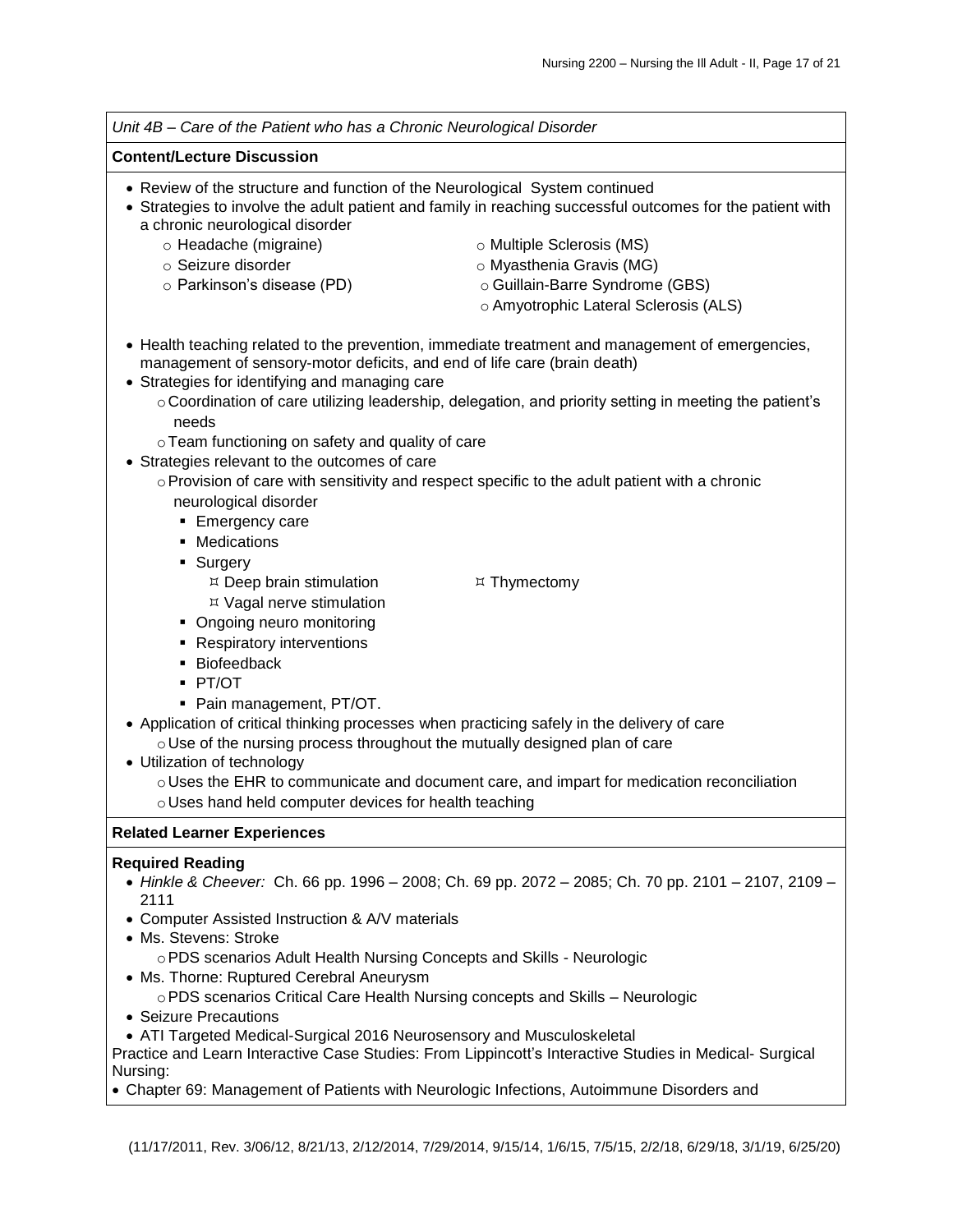

Nursing:

Chapter 69: Management of Patients with Neurologic Infections, Autoimmune Disorders and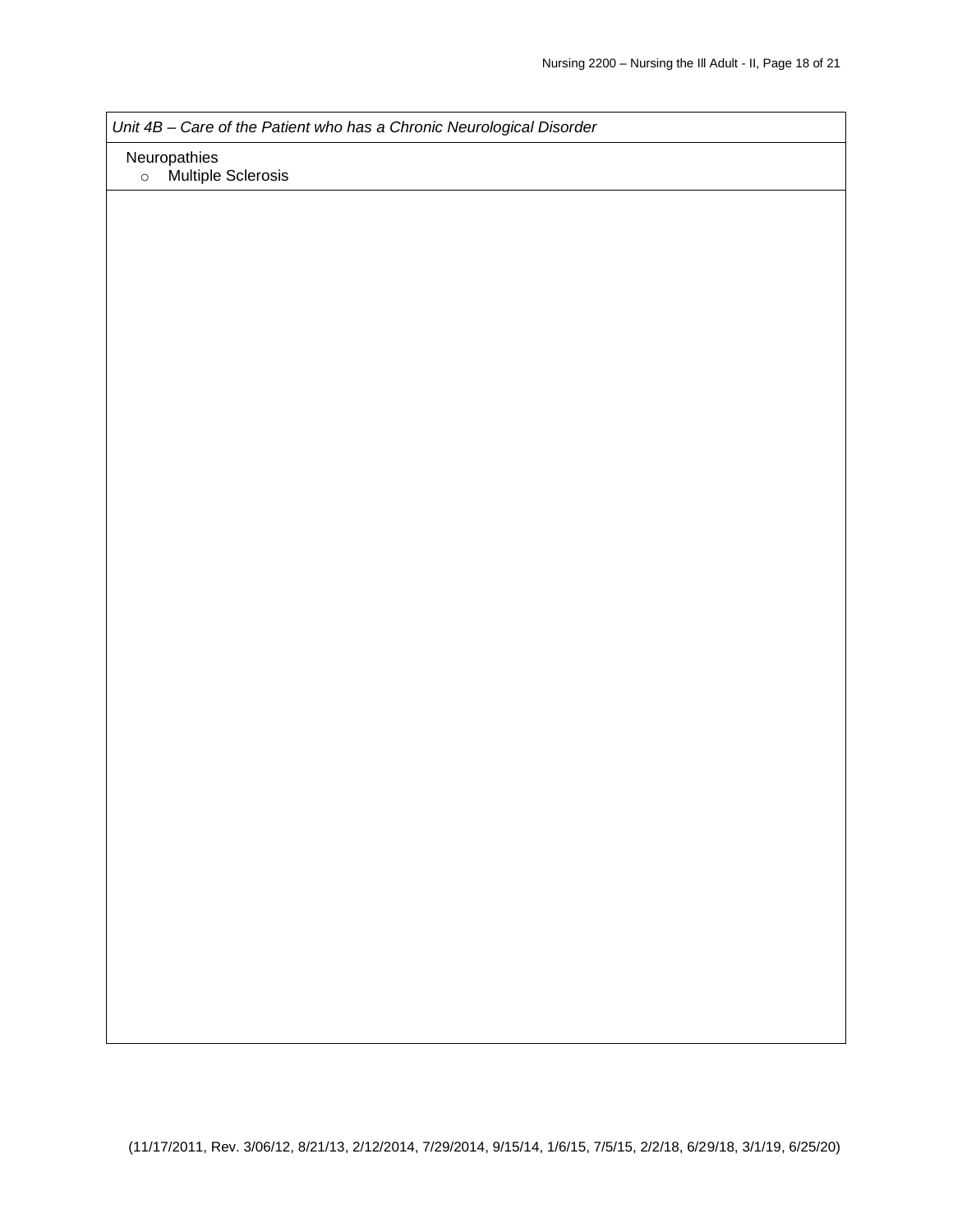*Unit 4B – Care of the Patient who has a Chronic Neurological Disorder*

Neuropathies

o Multiple Sclerosis

(11/17/2011, Rev. 3/06/12, 8/21/13, 2/12/2014, 7/29/2014, 9/15/14, 1/6/15, 7/5/15, 2/2/18, 6/29/18, 3/1/19, 6/25/20)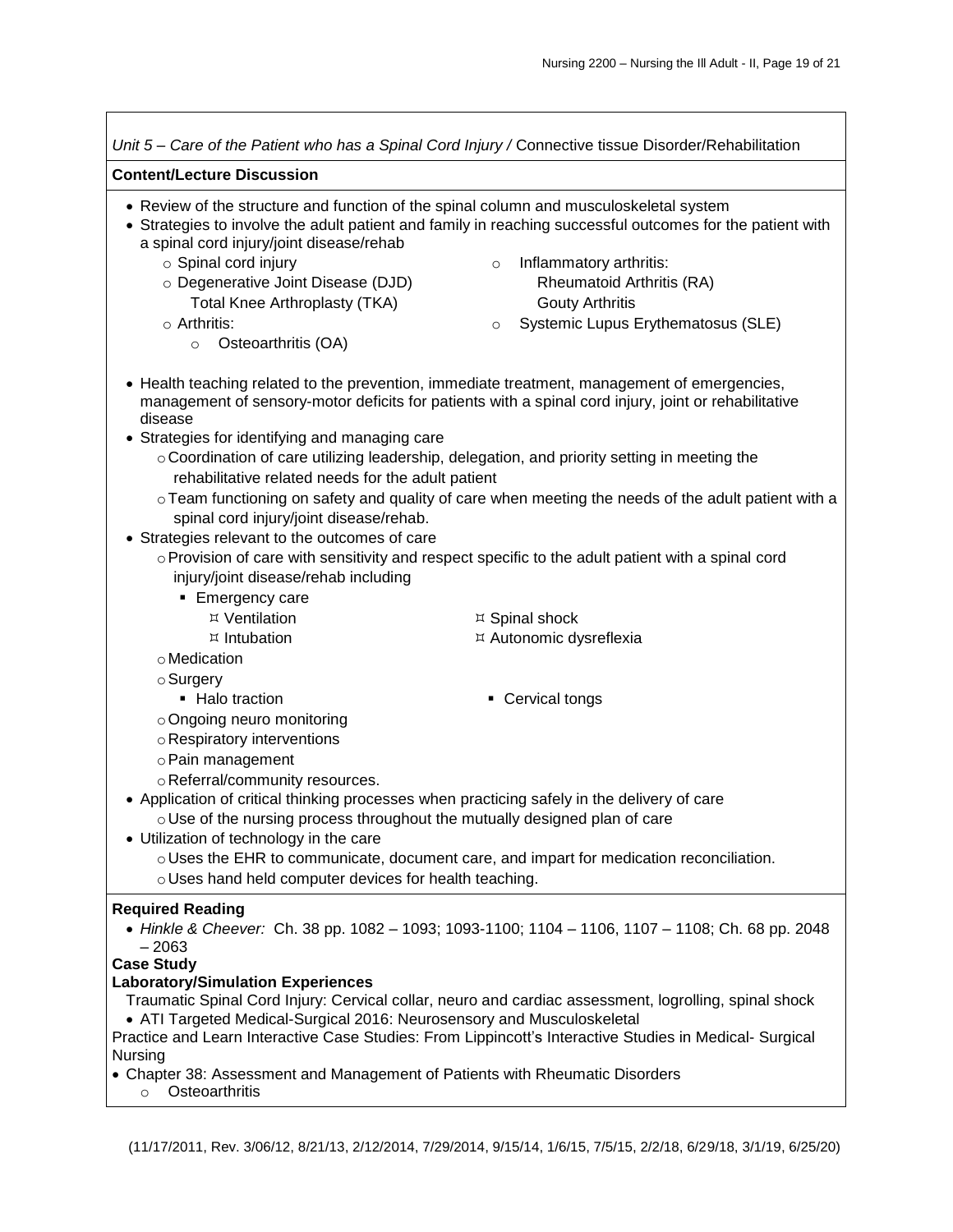| Unit 5 – Care of the Patient who has a Spinal Cord Injury / Connective tissue Disorder/Rehabilitation                                                                                                        |                                                                                                                                                                                                      |  |  |
|--------------------------------------------------------------------------------------------------------------------------------------------------------------------------------------------------------------|------------------------------------------------------------------------------------------------------------------------------------------------------------------------------------------------------|--|--|
| <b>Content/Lecture Discussion</b>                                                                                                                                                                            |                                                                                                                                                                                                      |  |  |
| • Review of the structure and function of the spinal column and musculoskeletal system<br>a spinal cord injury/joint disease/rehab                                                                           | • Strategies to involve the adult patient and family in reaching successful outcomes for the patient with                                                                                            |  |  |
| ○ Spinal cord injury<br>o Degenerative Joint Disease (DJD)<br>Total Knee Arthroplasty (TKA)                                                                                                                  | Inflammatory arthritis:<br>$\circ$<br>Rheumatoid Arthritis (RA)<br><b>Gouty Arthritis</b>                                                                                                            |  |  |
| $\circ$ Arthritis:<br>Osteoarthritis (OA)<br>$\circ$                                                                                                                                                         | Systemic Lupus Erythematosus (SLE)<br>$\circ$                                                                                                                                                        |  |  |
| disease<br>• Strategies for identifying and managing care                                                                                                                                                    | • Health teaching related to the prevention, immediate treatment, management of emergencies,<br>management of sensory-motor deficits for patients with a spinal cord injury, joint or rehabilitative |  |  |
| rehabilitative related needs for the adult patient                                                                                                                                                           | o Coordination of care utilizing leadership, delegation, and priority setting in meeting the                                                                                                         |  |  |
| spinal cord injury/joint disease/rehab.<br>• Strategies relevant to the outcomes of care                                                                                                                     | ○ Team functioning on safety and quality of care when meeting the needs of the adult patient with a                                                                                                  |  |  |
| injury/joint disease/rehab including                                                                                                                                                                         | ○ Provision of care with sensitivity and respect specific to the adult patient with a spinal cord                                                                                                    |  |  |
| • Emergency care<br>¤ Ventilation                                                                                                                                                                            | ¤ Spinal shock                                                                                                                                                                                       |  |  |
| $\n  l$ Intubation<br>o Medication<br>$\circ$ Surgery                                                                                                                                                        | ¤ Autonomic dysreflexia                                                                                                                                                                              |  |  |
| • Halo traction<br>o Ongoing neuro monitoring                                                                                                                                                                | • Cervical tongs                                                                                                                                                                                     |  |  |
| o Respiratory interventions<br>o Pain management                                                                                                                                                             |                                                                                                                                                                                                      |  |  |
| o Referral/community resources.<br>• Application of critical thinking processes when practicing safely in the delivery of care<br>o Use of the nursing process throughout the mutually designed plan of care |                                                                                                                                                                                                      |  |  |
| • Utilization of technology in the care<br>o Uses the EHR to communicate, document care, and impart for medication reconciliation.<br>o Uses hand held computer devices for health teaching.                 |                                                                                                                                                                                                      |  |  |
| <b>Required Reading</b><br>$-2063$                                                                                                                                                                           | • Hinkle & Cheever: Ch. 38 pp. 1082 - 1093; 1093-1100; 1104 - 1106, 1107 - 1108; Ch. 68 pp. 2048                                                                                                     |  |  |
| <b>Case Study</b><br><b>Laboratory/Simulation Experiences</b><br>• ATI Targeted Medical-Surgical 2016: Neurosensory and Musculoskeletal<br>Nursing                                                           | Traumatic Spinal Cord Injury: Cervical collar, neuro and cardiac assessment, logrolling, spinal shock                                                                                                |  |  |
| Practice and Learn Interactive Case Studies: From Lippincott's Interactive Studies in Medical- Surgical<br>• Chapter 38: Assessment and Management of Patients with Rheumatic Disorders                      |                                                                                                                                                                                                      |  |  |

o Osteoarthritis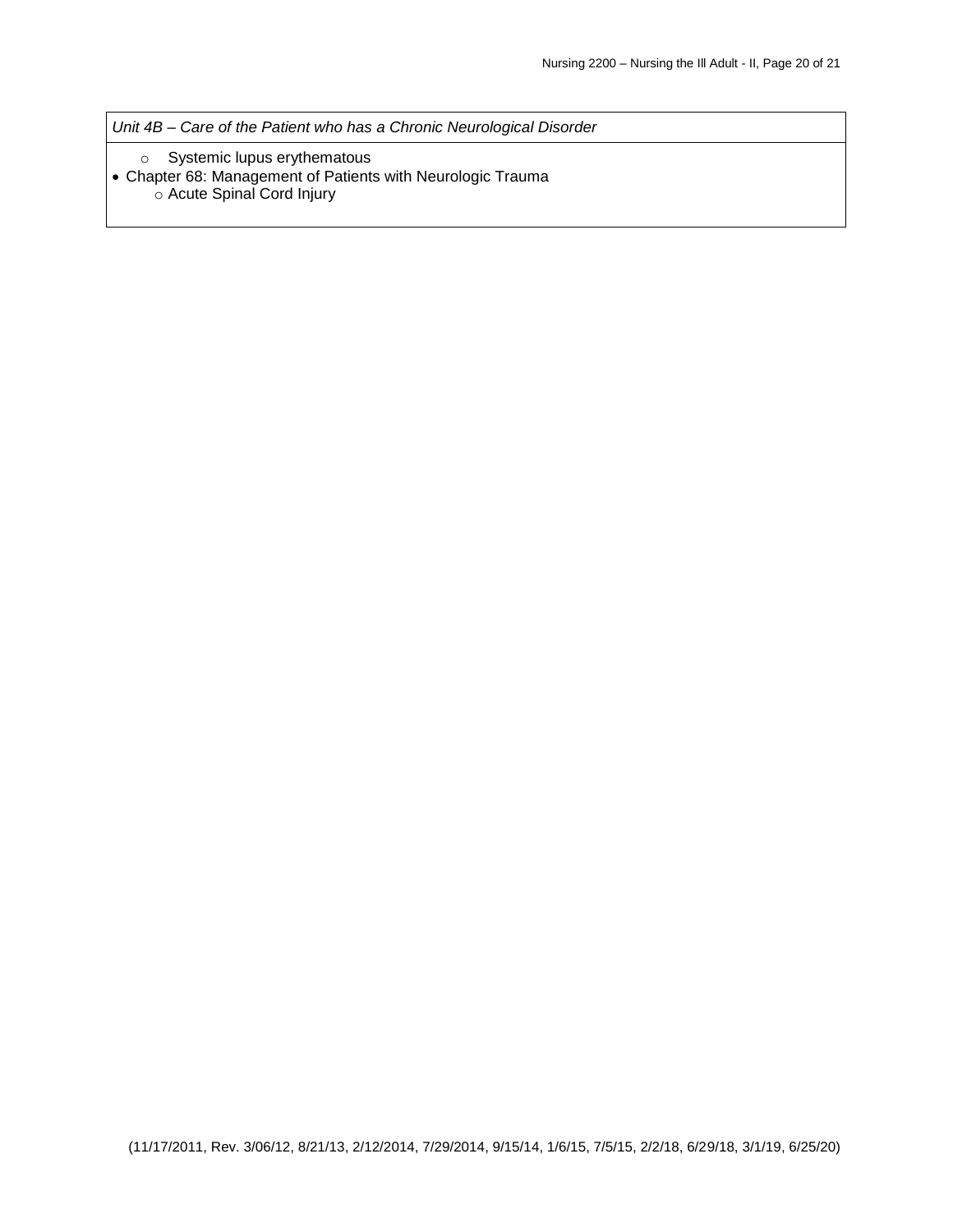*Unit 4B – Care of the Patient who has a Chronic Neurological Disorder*

- o Systemic lupus erythematous
- Chapter 68: Management of Patients with Neurologic Trauma o Acute Spinal Cord Injury